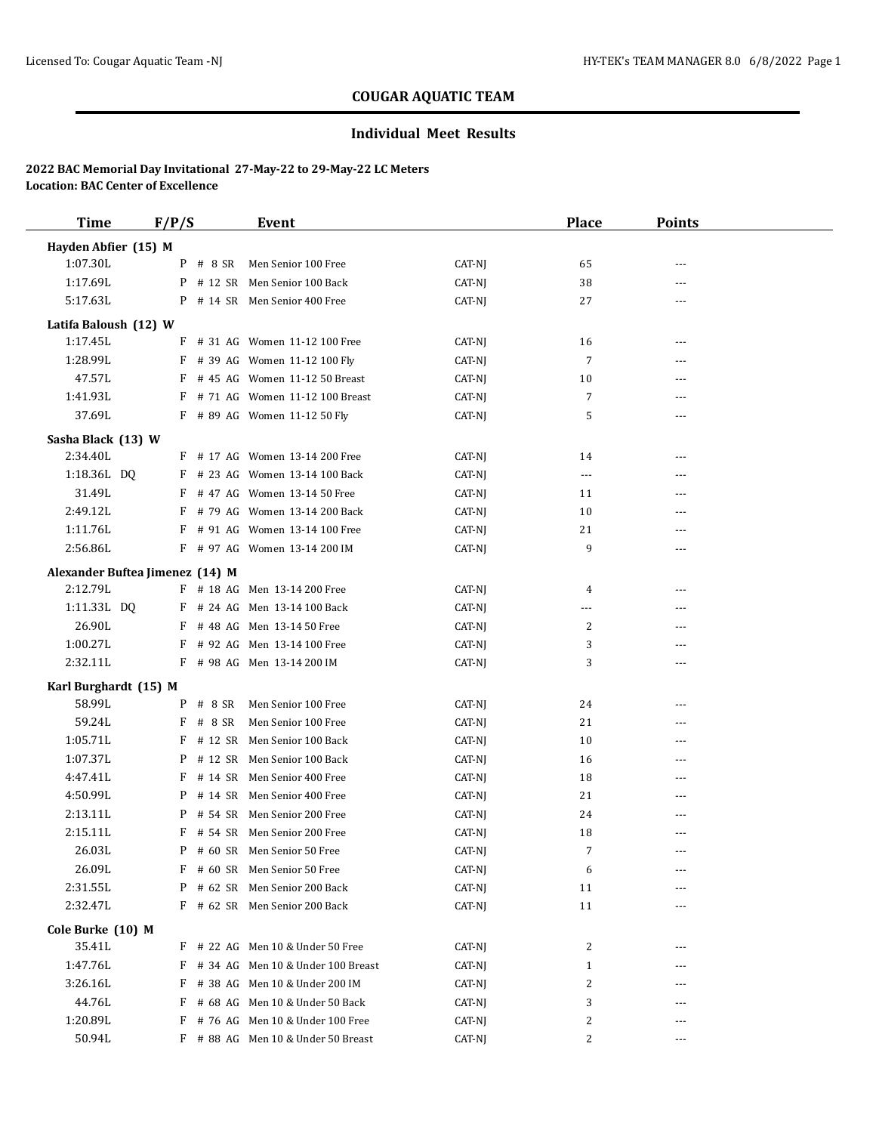## **Individual Meet Results**

| <b>Time</b>                     | F/P/S |            | Event                                 |                  | <b>Place</b>      | <b>Points</b> |  |
|---------------------------------|-------|------------|---------------------------------------|------------------|-------------------|---------------|--|
| Hayden Abfier (15) M            |       |            |                                       |                  |                   |               |  |
| 1:07.30L                        |       | $P$ # 8 SR | Men Senior 100 Free                   | CAT-NJ           | 65                | $---$         |  |
| 1:17.69L                        |       |            | P # 12 SR Men Senior 100 Back         | CAT-NJ           | 38                |               |  |
| 5:17.63L                        |       |            | P # 14 SR Men Senior 400 Free         | CAT-NJ           | 27                | $---$         |  |
| Latifa Baloush (12) W           |       |            |                                       |                  |                   |               |  |
| 1:17.45L                        |       |            | F # 31 AG Women 11-12 100 Free        | CAT-NJ           | 16                | ---           |  |
| 1:28.99L                        |       |            | F # 39 AG Women 11-12 100 Fly         | CAT-NJ           | $\overline{7}$    | ---           |  |
| 47.57L                          |       |            | $F$ # 45 AG Women 11-12 50 Breast     | CAT-NJ           | 10                | ---           |  |
| 1:41.93L                        |       |            | F # 71 AG Women 11-12 100 Breast      | CAT-NJ           | $\overline{7}$    | ---           |  |
| 37.69L                          |       |            | F # 89 AG Women 11-12 50 Fly          | CAT-NJ           | 5                 | ---           |  |
| Sasha Black (13) W              |       |            |                                       |                  |                   |               |  |
| 2:34.40L                        |       |            | F # 17 AG Women 13-14 200 Free        | CAT-NJ           | 14                | ---           |  |
| 1:18.36L DQ                     |       |            | F # 23 AG Women 13-14 100 Back        | CAT-NJ           | $\cdots$          | ---           |  |
| 31.49L                          |       |            | F # 47 AG Women 13-14 50 Free         | CAT-NJ           | 11                | $\cdots$      |  |
| 2:49.12L                        |       |            | F # 79 AG Women 13-14 200 Back        | CAT-NJ           | 10                | ---           |  |
| 1:11.76L                        |       |            | F # 91 AG Women 13-14 100 Free        | CAT-NJ           | 21                | ---           |  |
| 2:56.86L                        |       |            | F # 97 AG Women 13-14 200 IM          | CAT-NJ           | 9                 |               |  |
| Alexander Buftea Jimenez (14) M |       |            |                                       |                  |                   |               |  |
| 2:12.79L                        |       |            | F # 18 AG Men 13-14 200 Free          | CAT-NJ           | 4                 | ---           |  |
| 1:11.33L DQ                     |       |            | F # 24 AG Men 13-14 100 Back          | CAT-NJ           | ---               | $---$         |  |
| 26.90L                          |       |            | F # 48 AG Men 13-14 50 Free           | CAT-NJ           | 2                 |               |  |
| 1:00.27L                        |       |            | F # 92 AG Men 13-14 100 Free          | CAT-NJ           | 3                 | ---           |  |
| 2:32.11L                        |       |            | F # 98 AG Men 13-14 200 IM            | CAT-NJ           | 3                 | $- - -$       |  |
|                                 |       |            |                                       |                  |                   |               |  |
| Karl Burghardt (15) M<br>58.99L |       | $P$ # 8 SR | Men Senior 100 Free                   | CAT-NJ           |                   | ---           |  |
| 59.24L                          |       | $F$ # 8 SR | Men Senior 100 Free                   | CAT-NJ           | 24<br>21          | ---           |  |
| 1:05.71L                        |       |            | F # 12 SR Men Senior 100 Back         | CAT-NJ           | 10                | $---$         |  |
| 1:07.37L                        |       |            | P # 12 SR Men Senior 100 Back         | CAT-NJ           | 16                |               |  |
| 4:47.41L                        |       |            | F # 14 SR Men Senior 400 Free         | CAT-NJ           | 18                | $---$         |  |
| 4:50.99L                        |       |            | P # 14 SR Men Senior 400 Free         | CAT-NJ           | 21                | $- - -$       |  |
| 2:13.11L                        |       |            | P # 54 SR Men Senior 200 Free         | CAT-NJ           | 24                |               |  |
| 2:15.11L                        |       |            | F # 54 SR Men Senior 200 Free         | CAT-NJ           | 18                | $- - -$       |  |
| 26.03L                          |       |            | P # 60 SR Men Senior 50 Free          | CAT-NJ           | 7                 |               |  |
| 26.09L                          |       |            | F # 60 SR Men Senior 50 Free          | CAT-NJ           | 6                 |               |  |
| 2:31.55L                        |       |            | P # 62 SR Men Senior 200 Back         | CAT-NJ           | 11                |               |  |
| 2:32.47L                        |       |            | F # 62 SR Men Senior 200 Back         | CAT-NJ           | 11                | ---           |  |
|                                 |       |            |                                       |                  |                   |               |  |
| Cole Burke (10) M<br>35.41L     |       |            | $F$ # 22 AG Men 10 & Under 50 Free    |                  |                   |               |  |
| 1:47.76L                        |       |            | $F$ # 34 AG Men 10 & Under 100 Breast | CAT-NJ<br>CAT-NJ | 2<br>$\mathbf{1}$ |               |  |
| 3:26.16L                        |       |            | F # 38 AG Men 10 & Under 200 IM       | CAT-NJ           | 2                 |               |  |
| 44.76L                          |       |            | $F$ # 68 AG Men 10 & Under 50 Back    | CAT-NJ           | 3                 |               |  |
| 1:20.89L                        |       |            | F # 76 AG Men 10 & Under 100 Free     | CAT-NJ           | 2                 |               |  |
| 50.94L                          |       |            | $F$ # 88 AG Men 10 & Under 50 Breast  | CAT-NJ           | 2                 | $- - -$       |  |
|                                 |       |            |                                       |                  |                   |               |  |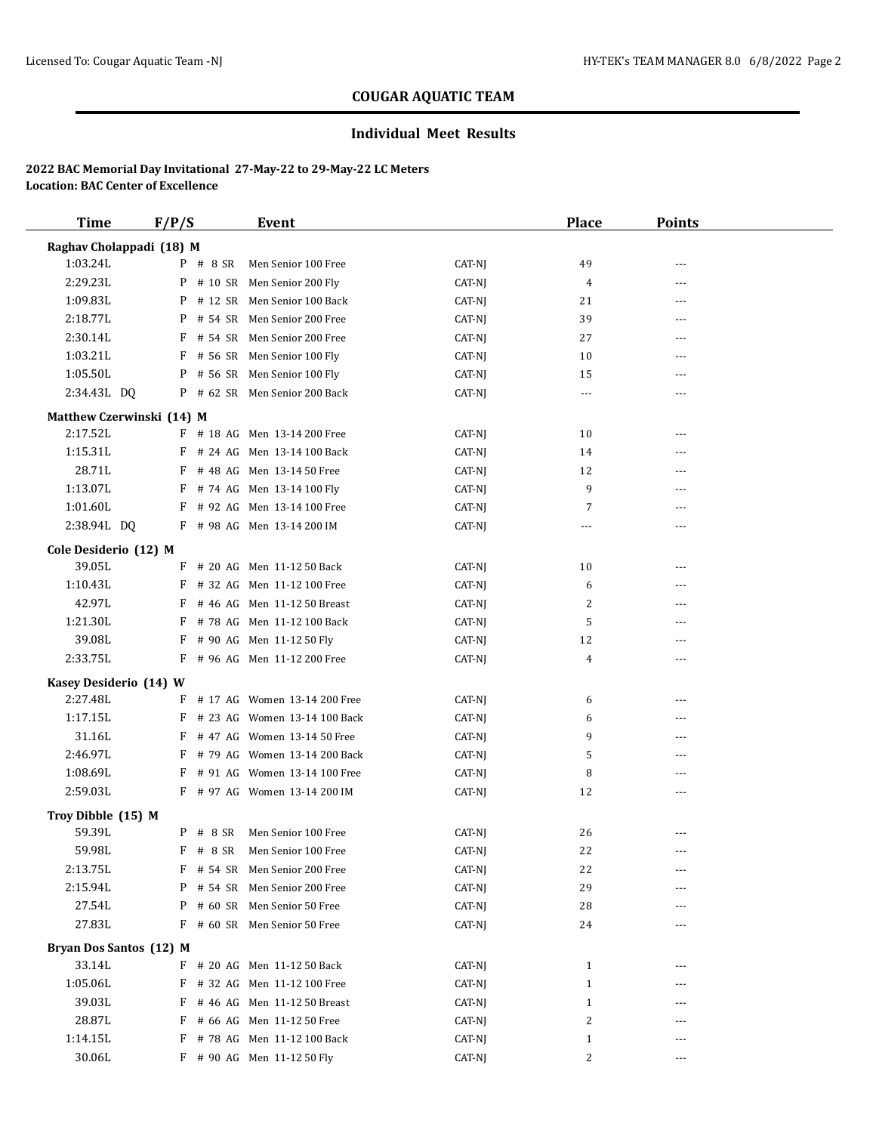## **Individual Meet Results**

| <b>Time</b>               | F/P/S      | Event                           |        | <b>Place</b> | <b>Points</b> |  |
|---------------------------|------------|---------------------------------|--------|--------------|---------------|--|
| Raghav Cholappadi (18) M  |            |                                 |        |              |               |  |
| 1:03.24L                  |            | P # 8 SR Men Senior 100 Free    | CAT-NJ | 49           |               |  |
| 2:29.23L                  |            | P # 10 SR Men Senior 200 Fly    | CAT-NJ | 4            | ---           |  |
| 1:09.83L                  |            | P # 12 SR Men Senior 100 Back   | CAT-NJ | 21           | ---           |  |
| 2:18.77L                  |            | P # 54 SR Men Senior 200 Free   | CAT-NJ | 39           | $---$         |  |
| 2:30.14L                  |            | F # 54 SR Men Senior 200 Free   | CAT-NJ | 27           | ---           |  |
| 1:03.21L                  |            | $F$ # 56 SR Men Senior 100 Fly  | CAT-NJ | 10           | ---           |  |
| 1:05.50L                  |            | P # 56 SR Men Senior 100 Fly    | CAT-NJ | 15           | ---           |  |
| 2:34.43L DQ               |            | P # 62 SR Men Senior 200 Back   | CAT-NJ | ---          | ---           |  |
| Matthew Czerwinski (14) M |            |                                 |        |              |               |  |
| 2:17.52L                  |            | F # 18 AG Men 13-14 200 Free    | CAT-NJ | 10           |               |  |
| 1:15.31L                  |            | F # 24 AG Men 13-14 100 Back    | CAT-NJ | 14           | ---           |  |
| 28.71L                    |            | F # 48 AG Men 13-14 50 Free     | CAT-NJ | 12           | ---           |  |
| 1:13.07L                  |            | F # 74 AG Men 13-14 100 Fly     | CAT-NJ | 9            | $- - -$       |  |
| 1:01.60L                  |            | F # 92 AG Men 13-14 100 Free    | CAT-NJ | 7            |               |  |
| 2:38.94L DQ               |            | F # 98 AG Men 13-14 200 IM      | CAT-NJ | $- - -$      | $---$         |  |
|                           |            |                                 |        |              |               |  |
| Cole Desiderio (12) M     |            |                                 |        |              |               |  |
| 39.05L                    |            | $F$ # 20 AG Men 11-12 50 Back   | CAT-NJ | 10           | ---           |  |
| 1:10.43L                  |            | F # 32 AG Men 11-12 100 Free    | CAT-NJ | 6            | ---           |  |
| 42.97L                    |            | $F$ # 46 AG Men 11-12 50 Breast | CAT-NJ | 2            |               |  |
| 1:21.30L                  |            | F # 78 AG Men 11-12 100 Back    | CAT-NJ | 5            | ---           |  |
| 39.08L                    |            | F # 90 AG Men 11-12 50 Fly      | CAT-NJ | 12           | ---           |  |
| 2:33.75L                  |            | F # 96 AG Men 11-12 200 Free    | CAT-NJ | 4            | ---           |  |
| Kasey Desiderio (14) W    |            |                                 |        |              |               |  |
| 2:27.48L                  |            | F # 17 AG Women 13-14 200 Free  | CAT-NJ | 6            | $---$         |  |
| 1:17.15L                  |            | F # 23 AG Women 13-14 100 Back  | CAT-NJ | 6            | ---           |  |
| 31.16L                    |            | F # 47 AG Women 13-14 50 Free   | CAT-NJ | 9            | ---           |  |
| 2:46.97L                  |            | F # 79 AG Women 13-14 200 Back  | CAT-NJ | 5            | ---           |  |
| 1:08.69L                  |            | F # 91 AG Women 13-14 100 Free  | CAT-NJ | 8            |               |  |
| 2:59.03L                  |            | F # 97 AG Women 13-14 200 IM    | CAT-NJ | 12           | ---           |  |
| Troy Dibble (15) M        |            |                                 |        |              |               |  |
| 59.39L                    | $P$ # 8 SR | Men Senior 100 Free             | CAT-NJ | 26           | $---$         |  |
| 59.98L                    |            | F # 8 SR Men Senior 100 Free    | CAT-NJ | 22           |               |  |
| 2:13.75L                  |            | F # 54 SR Men Senior 200 Free   | CAT-NJ | 22           |               |  |
| 2:15.94L                  |            | P # 54 SR Men Senior 200 Free   | CAT-NJ | 29           |               |  |
| 27.54L                    |            | P # 60 SR Men Senior 50 Free    | CAT-NJ | 28           |               |  |
| 27.83L                    |            | F # 60 SR Men Senior 50 Free    | CAT-NJ | 24           | ---           |  |
|                           |            |                                 |        |              |               |  |
| Bryan Dos Santos (12) M   |            |                                 |        |              |               |  |
| 33.14L                    | F          | # 20 AG Men 11-12 50 Back       | CAT-NJ | $\mathbf{1}$ | ---           |  |
| 1:05.06L                  |            | $F$ # 32 AG Men 11-12 100 Free  | CAT-NJ | $\mathbf{1}$ | ---           |  |
| 39.03L                    | F          | # 46 AG Men 11-12 50 Breast     | CAT-NJ | $\mathbf{1}$ | ---           |  |
| 28.87L                    | F          | # 66 AG Men 11-12 50 Free       | CAT-NJ | 2            | ---           |  |
| 1:14.15L                  | F          | # 78 AG Men 11-12 100 Back      | CAT-NJ | $\mathbf{1}$ |               |  |
| 30.06L                    |            | F # 90 AG Men 11-12 50 Fly      | CAT-NJ | 2            | ---           |  |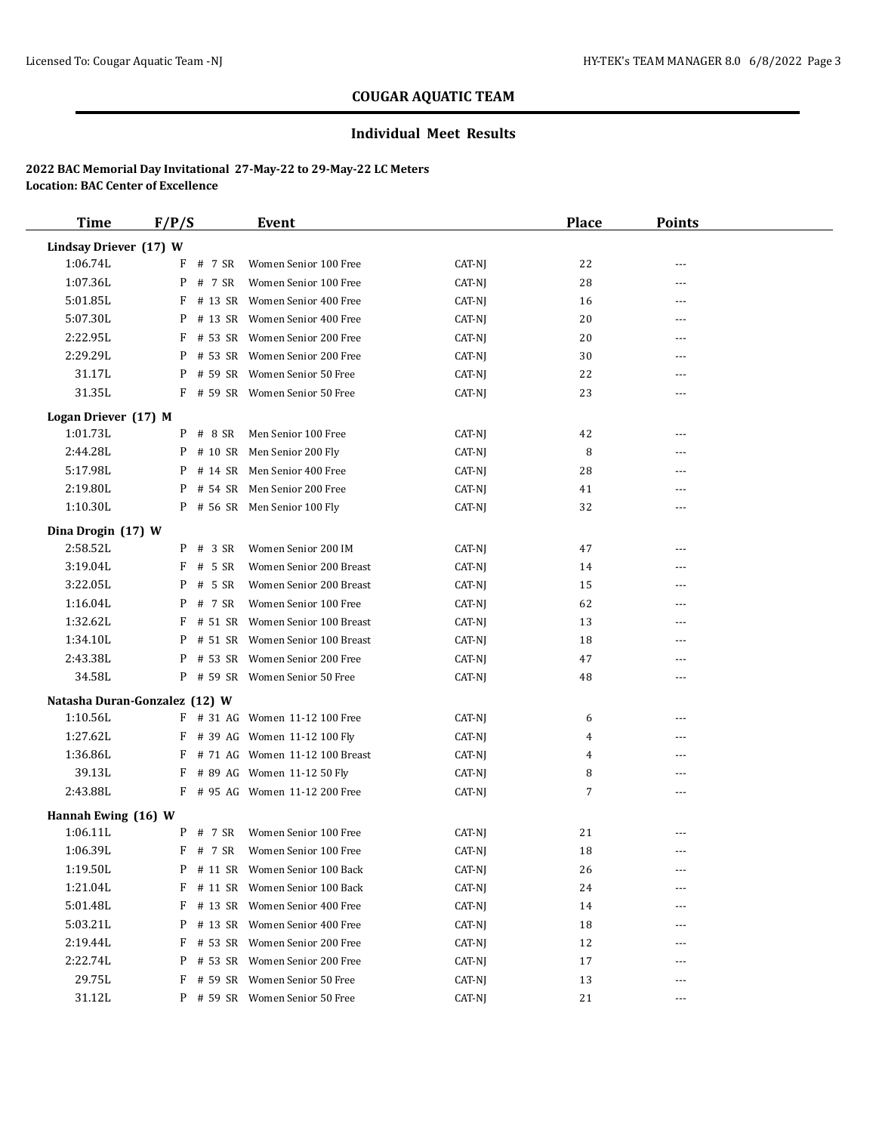## **Individual Meet Results**

| <b>Time</b>            | F/P/S                         | <b>Event</b>                      |        | <b>Place</b> | <b>Points</b> |  |
|------------------------|-------------------------------|-----------------------------------|--------|--------------|---------------|--|
| Lindsay Driever (17) W |                               |                                   |        |              |               |  |
| 1:06.74L               | $F$ # 7 SR                    | Women Senior 100 Free             | CAT-NJ | 22           | ---           |  |
| 1:07.36L               | $P$ # 7 SR                    | Women Senior 100 Free             | CAT-NJ | 28           | ---           |  |
| 5:01.85L               |                               | $F$ # 13 SR Women Senior 400 Free | CAT-NJ | 16           | ---           |  |
| 5:07.30L               | P                             | # 13 SR Women Senior 400 Free     | CAT-NJ | 20           | $- - -$       |  |
| 2:22.95L               | F                             | # 53 SR Women Senior 200 Free     | CAT-NJ | 20           | ---           |  |
| 2:29.29L               |                               | P # 53 SR Women Senior 200 Free   | CAT-NJ | 30           | $---$         |  |
| 31.17L                 |                               | P # 59 SR Women Senior 50 Free    | CAT-NJ | 22           |               |  |
| 31.35L                 |                               | F # 59 SR Women Senior 50 Free    | CAT-NJ | 23           | $---$         |  |
| Logan Driever (17) M   |                               |                                   |        |              |               |  |
| 1:01.73L               | $P$ # 8 SR                    | Men Senior 100 Free               | CAT-NJ | 42           |               |  |
| 2:44.28L               |                               | P # 10 SR Men Senior 200 Fly      | CAT-NJ | 8            | ---           |  |
| 5:17.98L               |                               | P # 14 SR Men Senior 400 Free     | CAT-NJ | 28           | ---           |  |
| 2:19.80L               | P                             | # 54 SR Men Senior 200 Free       | CAT-NJ | 41           | $---$         |  |
| 1:10.30L               |                               | P # 56 SR Men Senior 100 Fly      | CAT-NJ | 32           | ---           |  |
| Dina Drogin (17) W     |                               |                                   |        |              |               |  |
| 2:58.52L               | $P$ # 3 SR                    | Women Senior 200 IM               | CAT-NJ | 47           | ---           |  |
| 3:19.04L               | # 5 SR<br>F                   | Women Senior 200 Breast           | CAT-NJ | 14           | ---           |  |
| 3:22.05L               | # 5 SR<br>P                   | Women Senior 200 Breast           | CAT-NJ | 15           | ---           |  |
| 1:16.04L               | # 7 SR<br>P                   | Women Senior 100 Free             | CAT-NJ | 62           | $---$         |  |
| 1:32.62L               |                               | F # 51 SR Women Senior 100 Breast | CAT-NJ | 13           | $---$         |  |
| 1:34.10L               |                               | P # 51 SR Women Senior 100 Breast | CAT-NJ | 18           | ---           |  |
| 2:43.38L               | P                             | # 53 SR Women Senior 200 Free     | CAT-NJ | 47           | $---$         |  |
| 34.58L                 |                               | P # 59 SR Women Senior 50 Free    | CAT-NJ | 48           | ---           |  |
|                        | Natasha Duran-Gonzalez (12) W |                                   |        |              |               |  |
| 1:10.56L               |                               | F # 31 AG Women 11-12 100 Free    | CAT-NJ | 6            | $\cdots$      |  |
| 1:27.62L               |                               | F # 39 AG Women 11-12 100 Fly     | CAT-NJ | 4            | ---           |  |
| 1:36.86L               |                               | F # 71 AG Women 11-12 100 Breast  | CAT-NJ | 4            | ---           |  |
| 39.13L                 | F                             | # 89 AG Women 11-12 50 Fly        | CAT-NJ | 8            | ---           |  |
| 2:43.88L               |                               | F # 95 AG Women 11-12 200 Free    | CAT-NJ | 7            | $---$         |  |
|                        |                               |                                   |        |              |               |  |
| Hannah Ewing (16) W    |                               |                                   |        |              |               |  |
| 1:06.11L               | $P$ # 7 SR                    | Women Senior 100 Free             | CAT-NJ | 21           |               |  |
| 1:06.39L               | $F$ # 7 SR                    | Women Senior 100 Free             | CAT-NJ | 18           | $---$         |  |
| 1:19.50L               | P                             | # 11 SR Women Senior 100 Back     | CAT-NJ | 26           |               |  |
| 1:21.04L               | # 11 SR<br>F                  | Women Senior 100 Back             | CAT-NJ | 24           | ---           |  |
| 5:01.48L               | F<br># 13 SR                  | Women Senior 400 Free             | CAT-NJ | 14           | ---           |  |
| 5:03.21L               | P<br># 13 SR                  | Women Senior 400 Free             | CAT-NJ | 18           | ---           |  |
| 2:19.44L               | F                             | # 53 SR Women Senior 200 Free     | CAT-NJ | 12           | ---           |  |
| 2:22.74L               | P<br># 53 SR                  | Women Senior 200 Free             | CAT-NJ | 17           | $---$         |  |
| 29.75L                 | F<br># 59 SR                  | Women Senior 50 Free              | CAT-NJ | 13           | ---           |  |
| 31.12L                 |                               | P # 59 SR Women Senior 50 Free    | CAT-NJ | 21           | $---$         |  |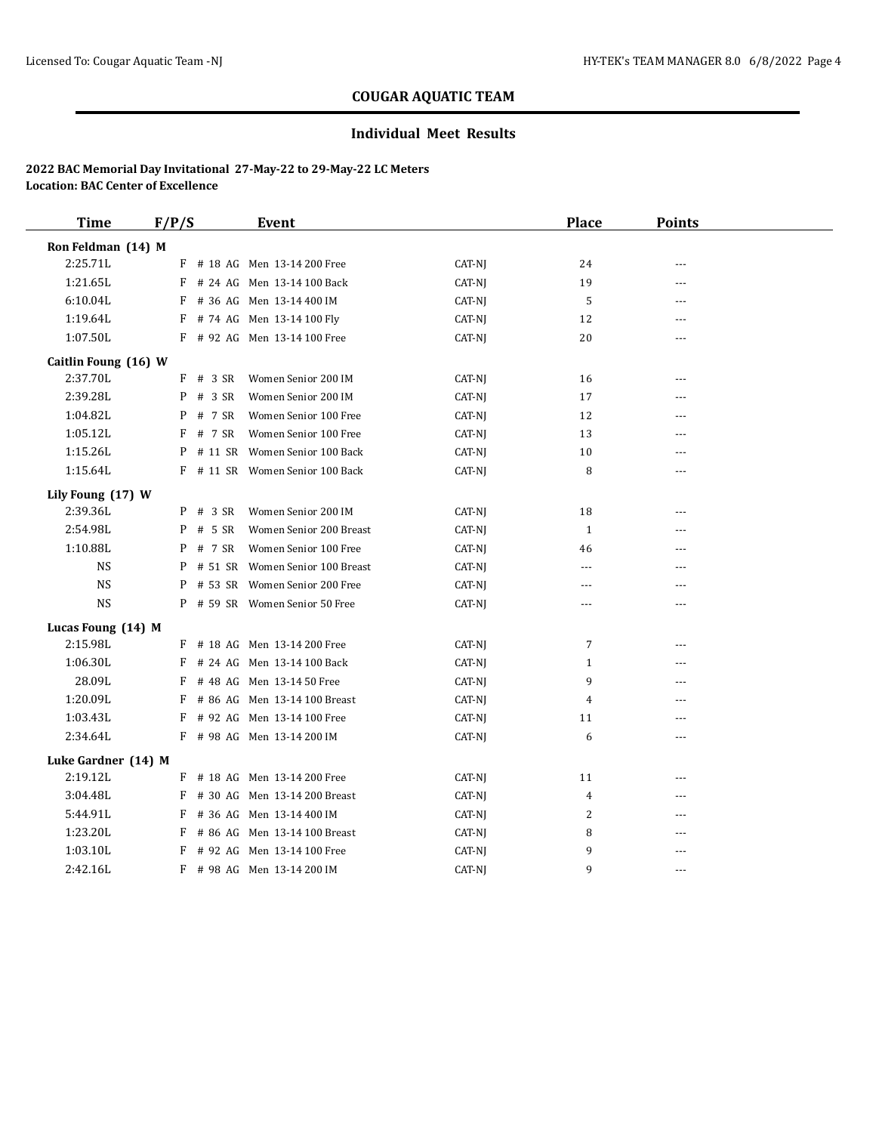## **Individual Meet Results**

| <b>Time</b>          | F/P/S       | <b>Event</b>                      |        | <b>Place</b> | <b>Points</b>  |  |
|----------------------|-------------|-----------------------------------|--------|--------------|----------------|--|
| Ron Feldman (14) M   |             |                                   |        |              |                |  |
| 2:25.71L             |             | F # 18 AG Men 13-14 200 Free      | CAT-NJ | 24           |                |  |
| 1:21.65L             |             | F # 24 AG Men 13-14 100 Back      | CAT-NJ | 19           | ---            |  |
| 6:10.04L             |             | F # 36 AG Men 13-14 400 IM        | CAT-NJ | 5            | $ -$           |  |
| 1:19.64L             |             | F # 74 AG Men 13-14 100 Fly       | CAT-NJ | 12           | ---            |  |
| 1:07.50L             |             | F # 92 AG Men 13-14 100 Free      | CAT-NJ | 20           | ---            |  |
| Caitlin Foung (16) W |             |                                   |        |              |                |  |
| 2:37.70L             | $F$ # 3 SR  | Women Senior 200 IM               | CAT-NJ | 16           | $---$          |  |
| 2:39.28L             | $P$ # 3 SR  | Women Senior 200 IM               | CAT-NJ | 17           | ---            |  |
| 1:04.82L             | # 7 SR<br>P | Women Senior 100 Free             | CAT-NJ | 12           | ---            |  |
| 1:05.12L             | # 7 SR<br>F | Women Senior 100 Free             | CAT-NJ | 13           | ---            |  |
| 1:15.26L             | P           | # 11 SR Women Senior 100 Back     | CAT-NJ | 10           |                |  |
| 1:15.64L             |             | F # 11 SR Women Senior 100 Back   | CAT-NJ | 8            | $- - -$        |  |
| Lily Foung (17) W    |             |                                   |        |              |                |  |
| 2:39.36L             | P # 3 SR    | Women Senior 200 IM               | CAT-NJ | 18           | ---            |  |
| 2:54.98L             | # 5 SR<br>P | Women Senior 200 Breast           | CAT-NJ | $\mathbf{1}$ | ---            |  |
| 1:10.88L             | $P$ # 7 SR  | Women Senior 100 Free             | CAT-NJ | 46           | $\overline{a}$ |  |
| NS.                  |             | P # 51 SR Women Senior 100 Breast | CAT-NJ | ---          | ---            |  |
| <b>NS</b>            | P           | # 53 SR Women Senior 200 Free     | CAT-NJ | ---          | ---            |  |
| <b>NS</b>            |             | P # 59 SR Women Senior 50 Free    | CAT-NJ | $---$        | $- - -$        |  |
| Lucas Foung (14) M   |             |                                   |        |              |                |  |
| 2:15.98L             |             | F # 18 AG Men 13-14 200 Free      | CAT-NJ | 7            | ---            |  |
| 1:06.30L             | F           | # 24 AG Men 13-14 100 Back        | CAT-NJ | $\mathbf{1}$ | ---            |  |
| 28.09L               | F           | # 48 AG Men 13-14 50 Free         | CAT-NJ | 9            | ---            |  |
| 1:20.09L             | F           | # 86 AG Men 13-14 100 Breast      | CAT-NJ | 4            | ---            |  |
| 1:03.43L             | F           | # 92 AG Men 13-14 100 Free        | CAT-NJ | 11           | ---            |  |
| 2:34.64L             |             | F # 98 AG Men 13-14 200 IM        | CAT-NJ | 6            | ---            |  |
| Luke Gardner (14) M  |             |                                   |        |              |                |  |
| 2:19.12L             |             | F # 18 AG Men 13-14 200 Free      | CAT-NJ | 11           |                |  |
| 3:04.48L             | F           | # 30 AG Men 13-14 200 Breast      | CAT-NJ | 4            | ---            |  |
| 5:44.91L             | F           | # 36 AG Men 13-14 400 IM          | CAT-NJ | 2            | ---            |  |
| 1:23.20L             | F           | # 86 AG Men 13-14 100 Breast      | CAT-NJ | 8            | ---            |  |
| 1:03.10L             | F           | # 92 AG Men 13-14 100 Free        | CAT-NJ | 9            | ---            |  |
| 2:42.16L             |             | F # 98 AG Men 13-14 200 IM        | CAT-NJ | 9            | $- - -$        |  |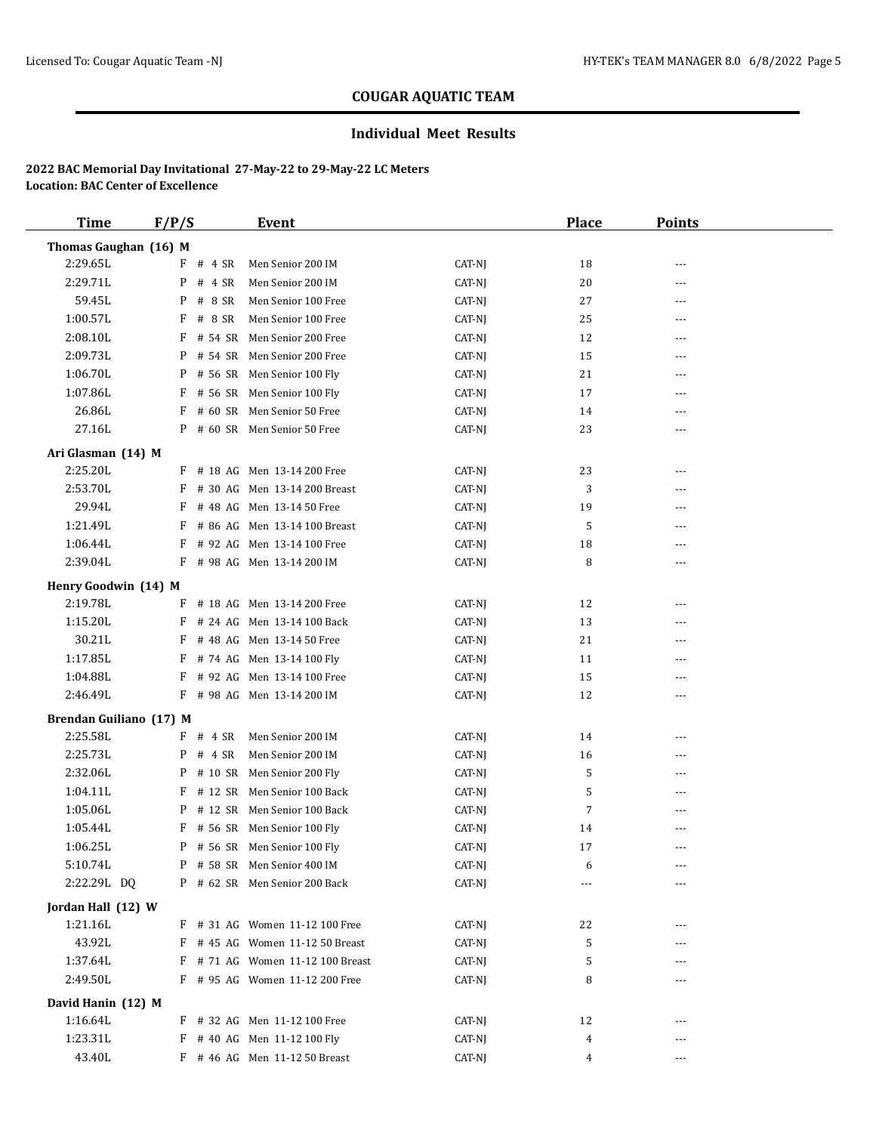## **Individual Meet Results**

| <b>Time</b>                      | F/P/S |            | <b>Event</b>                     |                  | <b>Place</b> | <b>Points</b> |  |
|----------------------------------|-------|------------|----------------------------------|------------------|--------------|---------------|--|
| Thomas Gaughan (16) M            |       |            |                                  |                  |              |               |  |
| 2:29.65L                         |       | $F$ # 4 SR | Men Senior 200 IM                | CAT-NJ           | 18           | ---           |  |
| 2:29.71L                         | P     | # 4 SR     | Men Senior 200 IM                | CAT-NJ           | 20           | ---           |  |
| 59.45L                           |       | P # 8 SR   | Men Senior 100 Free              | CAT-NJ           | 27           | ---           |  |
| 1:00.57L                         |       | $F$ # 8 SR | Men Senior 100 Free              | CAT-NJ           | 25           | ---           |  |
| 2:08.10L                         | F     | # 54 SR    | Men Senior 200 Free              | CAT-NJ           | 12           | ---           |  |
| 2:09.73L                         |       |            | P # 54 SR Men Senior 200 Free    | CAT-NJ           | 15           | ---           |  |
| 1:06.70L                         |       |            | P # 56 SR Men Senior 100 Fly     | CAT-NJ           | 21           | ---           |  |
| 1:07.86L                         | F     |            | # 56 SR Men Senior 100 Fly       | CAT-NJ           | 17           | ---           |  |
| 26.86L                           |       |            | F # 60 SR Men Senior 50 Free     | CAT-NJ           | 14           | ---           |  |
| 27.16L                           |       |            | P # 60 SR Men Senior 50 Free     | CAT-NJ           | 23           | ---           |  |
| Ari Glasman (14) M               |       |            |                                  |                  |              |               |  |
| 2:25.20L                         |       |            | F # 18 AG Men 13-14 200 Free     | CAT-NJ           | 23           | ---           |  |
| 2:53.70L                         |       |            | F # 30 AG Men 13-14 200 Breast   | CAT-NJ           | 3            | ---           |  |
| 29.94L                           |       |            | F # 48 AG Men 13-14 50 Free      | CAT-NJ           | 19           | ---           |  |
| 1:21.49L                         |       |            | F # 86 AG Men 13-14 100 Breast   | CAT-NJ           | 5            | ---           |  |
| 1:06.44L                         | F     |            | # 92 AG Men 13-14 100 Free       | CAT-NJ           | 18           | ---           |  |
| 2:39.04L                         |       |            | F # 98 AG Men 13-14 200 IM       | CAT-NJ           | 8            | ---           |  |
|                                  |       |            |                                  |                  |              |               |  |
| Henry Goodwin (14) M<br>2:19.78L |       |            | F # 18 AG Men 13-14 200 Free     |                  |              |               |  |
| 1:15.20L                         |       |            | F # 24 AG Men 13-14 100 Back     | CAT-NJ           | 12           | ---           |  |
| 30.21L                           |       |            | F # 48 AG Men 13-14 50 Free      | CAT-NJ           | 13<br>21     | ---           |  |
| 1:17.85L                         |       |            | F # 74 AG Men 13-14 100 Fly      | CAT-NJ<br>CAT-NJ | 11           | ---<br>---    |  |
| 1:04.88L                         | F     |            | # 92 AG Men 13-14 100 Free       | CAT-NJ           | 15           | ---           |  |
| 2:46.49L                         |       |            | F # 98 AG Men 13-14 200 IM       |                  | 12           |               |  |
|                                  |       |            |                                  | CAT-NJ           |              | ---           |  |
| Brendan Guiliano (17) M          |       |            |                                  |                  |              |               |  |
| 2:25.58L                         | F     | # 4 SR     | Men Senior 200 IM                | CAT-NJ           | 14           | ---           |  |
| 2:25.73L                         | P     | # 4 SR     | Men Senior 200 IM                | CAT-NJ           | 16           | ---           |  |
| 2:32.06L                         |       |            | P # 10 SR Men Senior 200 Fly     | CAT-NJ           | 5            | ---           |  |
| 1:04.11L                         |       |            | F # 12 SR Men Senior 100 Back    | CAT-NJ           | 5            | ---           |  |
| 1:05.06L                         |       |            | P # 12 SR Men Senior 100 Back    | CAT-NJ           | 7            | ---           |  |
| 1:05.44L                         |       |            | $F$ # 56 SR Men Senior 100 Fly   | CAT-NJ           | 14           | ---           |  |
| 1:06.25L                         |       |            | P # 56 SR Men Senior 100 Fly     | CAT-NJ           | 17           | ---           |  |
| 5:10.74L                         |       |            | P # 58 SR Men Senior 400 IM      | CAT-NJ           | 6            |               |  |
| 2:22.29L DQ                      |       |            | P # 62 SR Men Senior 200 Back    | CAT-NJ           |              |               |  |
| Jordan Hall (12) W               |       |            |                                  |                  |              |               |  |
| 1:21.16L                         |       |            | F # 31 AG Women 11-12 100 Free   | CAT-NJ           | 22           |               |  |
| 43.92L                           |       |            | F # 45 AG Women 11-12 50 Breast  | CAT-NJ           | 5            |               |  |
| 1:37.64L                         |       |            | F # 71 AG Women 11-12 100 Breast | CAT-NJ           | 5            |               |  |
| 2:49.50L                         |       |            | F # 95 AG Women 11-12 200 Free   | CAT-NJ           | 8            | ---           |  |
| David Hanin (12) M               |       |            |                                  |                  |              |               |  |
| 1:16.64L                         |       |            | F # 32 AG Men 11-12 100 Free     | CAT-NJ           | 12           |               |  |
| 1:23.31L                         |       |            | F # 40 AG Men 11-12 100 Fly      | CAT-NJ           | 4            |               |  |
| 43.40L                           |       |            | F # 46 AG Men 11-12 50 Breast    | CAT-NJ           | 4            | ---           |  |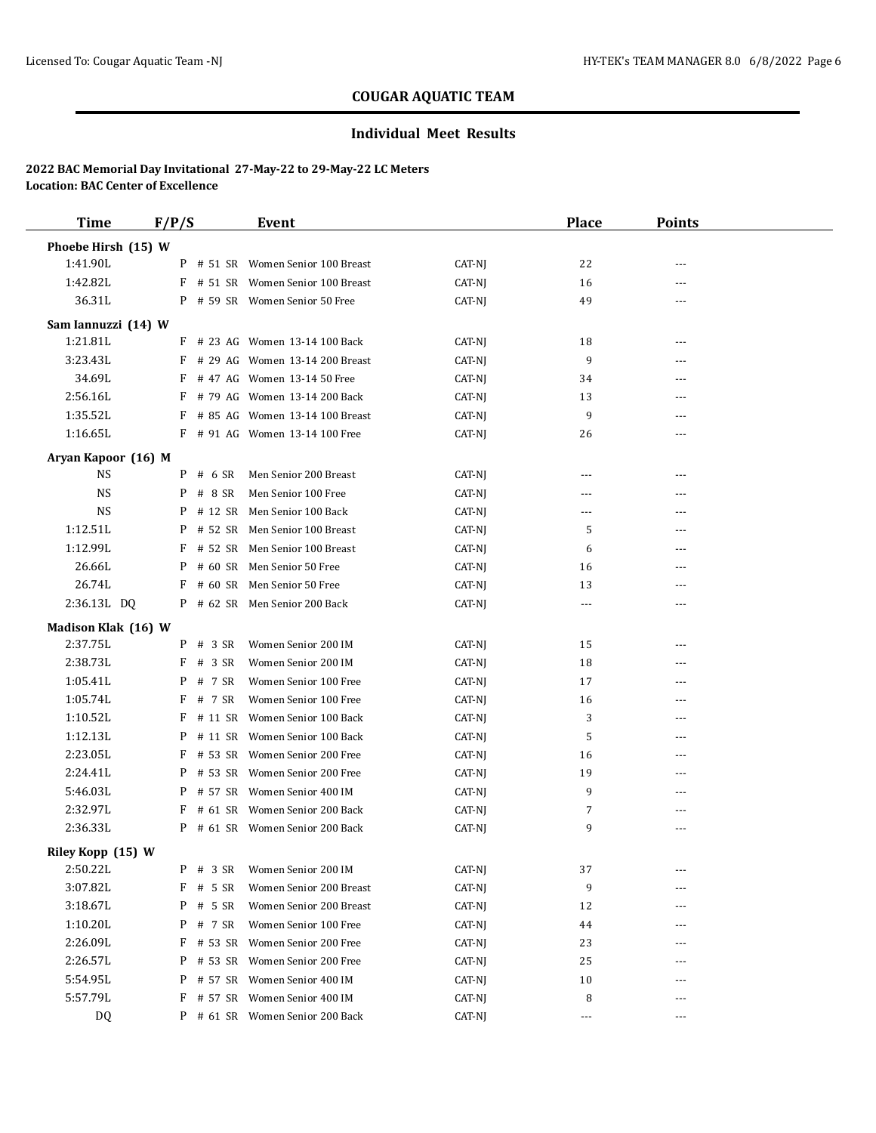## **Individual Meet Results**

| <b>Time</b>         | F/P/S  |            | <b>Event</b>                      |        | <b>Place</b>   | <b>Points</b> |  |
|---------------------|--------|------------|-----------------------------------|--------|----------------|---------------|--|
| Phoebe Hirsh (15) W |        |            |                                   |        |                |               |  |
| 1:41.90L            |        |            | P # 51 SR Women Senior 100 Breast | CAT-NJ | 22             | $---$         |  |
| 1:42.82L            |        |            | F # 51 SR Women Senior 100 Breast | CAT-NJ | 16             | ---           |  |
| 36.31L              |        |            | P # 59 SR Women Senior 50 Free    | CAT-NJ | 49             | $---$         |  |
| Sam Iannuzzi (14) W |        |            |                                   |        |                |               |  |
| 1:21.81L            |        |            | $F$ # 23 AG Women 13-14 100 Back  | CAT-NJ | 18             | $\cdots$      |  |
| 3:23.43L            | F      |            | # 29 AG Women 13-14 200 Breast    | CAT-NJ | 9              | ---           |  |
| 34.69L              |        |            | $F$ # 47 AG Women 13-14 50 Free   | CAT-NJ | 34             | ---           |  |
| 2:56.16L            |        |            | F # 79 AG Women 13-14 200 Back    | CAT-NJ | 13             | ---           |  |
| 1:35.52L            |        |            | F # 85 AG Women 13-14 100 Breast  | CAT-NJ | 9              |               |  |
| 1:16.65L            |        |            | F # 91 AG Women 13-14 100 Free    | CAT-NJ | 26             | $---$         |  |
| Aryan Kapoor (16) M |        |            |                                   |        |                |               |  |
| <b>NS</b>           |        | $P$ # 6 SR | Men Senior 200 Breast             | CAT-NJ | $\cdots$       | $\cdots$      |  |
| <b>NS</b>           |        | $P$ # 8 SR | Men Senior 100 Free               | CAT-NJ | ---            | ---           |  |
| NS                  |        |            | P # 12 SR Men Senior 100 Back     | CAT-NJ | ---            | ---           |  |
| 1:12.51L            | P      |            | # 52 SR Men Senior 100 Breast     | CAT-NJ | 5              | ---           |  |
| 1:12.99L            | F      |            | # 52 SR Men Senior 100 Breast     | CAT-NJ | 6              | ---           |  |
| 26.66L              |        |            | P # 60 SR Men Senior 50 Free      | CAT-NJ | 16             | $---$         |  |
| 26.74L              |        |            | F # 60 SR Men Senior 50 Free      | CAT-NJ | 13             |               |  |
| 2:36.13L DQ         |        |            | P # 62 SR Men Senior 200 Back     | CAT-NJ | $\overline{a}$ | ---           |  |
| Madison Klak (16) W |        |            |                                   |        |                |               |  |
| 2:37.75L            |        | $P$ # 3 SR | Women Senior 200 IM               | CAT-NJ | 15             | ---           |  |
| 2:38.73L            |        | $F$ # 3 SR | Women Senior 200 IM               | CAT-NJ | 18             | $---$         |  |
| 1:05.41L            |        | P # 7 SR   | Women Senior 100 Free             | CAT-NJ | 17             | ---           |  |
| 1:05.74L            | F      | # 7 SR     | Women Senior 100 Free             | CAT-NJ | 16             | ---           |  |
| 1:10.52L            |        |            | F # 11 SR Women Senior 100 Back   | CAT-NJ | 3              |               |  |
| 1:12.13L            | P      |            | # 11 SR Women Senior 100 Back     | CAT-NJ | 5              | $---$         |  |
| 2:23.05L            | F      |            | # 53 SR Women Senior 200 Free     | CAT-NJ | 16             |               |  |
| 2:24.41L            |        |            | P # 53 SR Women Senior 200 Free   | CAT-NJ | 19             |               |  |
| 5:46.03L            |        |            | P # 57 SR Women Senior 400 IM     | CAT-NJ | 9              | ---           |  |
| 2:32.97L            |        |            | F # 61 SR Women Senior 200 Back   | CAT-NJ | 7              | ---           |  |
| 2:36.33L            |        |            | P # 61 SR Women Senior 200 Back   | CAT-NJ | 9              | $\cdots$      |  |
| Riley Kopp (15) W   |        |            |                                   |        |                |               |  |
| 2:50.22L            |        | $P$ # 3 SR | Women Senior 200 IM               | CAT-NJ | 37             | ---           |  |
| 3:07.82L            | F      | # 5 SR     | Women Senior 200 Breast           | CAT-NJ | 9              |               |  |
| 3:18.67L            | P      | # 5 SR     | Women Senior 200 Breast           | CAT-NJ | 12             | ---           |  |
| 1:10.20L            | P<br># | 7 SR       | Women Senior 100 Free             | CAT-NJ | 44             | ---           |  |
| 2:26.09L            | F      |            | # 53 SR Women Senior 200 Free     | CAT-NJ | 23             |               |  |
| 2:26.57L            | P      |            | # 53 SR Women Senior 200 Free     | CAT-NJ | 25             | ---           |  |
| 5:54.95L            |        |            | P # 57 SR Women Senior 400 IM     | CAT-NJ | 10             |               |  |
| 5:57.79L            |        |            | F # 57 SR Women Senior 400 IM     | CAT-NJ | 8              | $---$         |  |
| DQ                  |        |            | P # 61 SR Women Senior 200 Back   | CAT-NJ | $\cdots$       | ---           |  |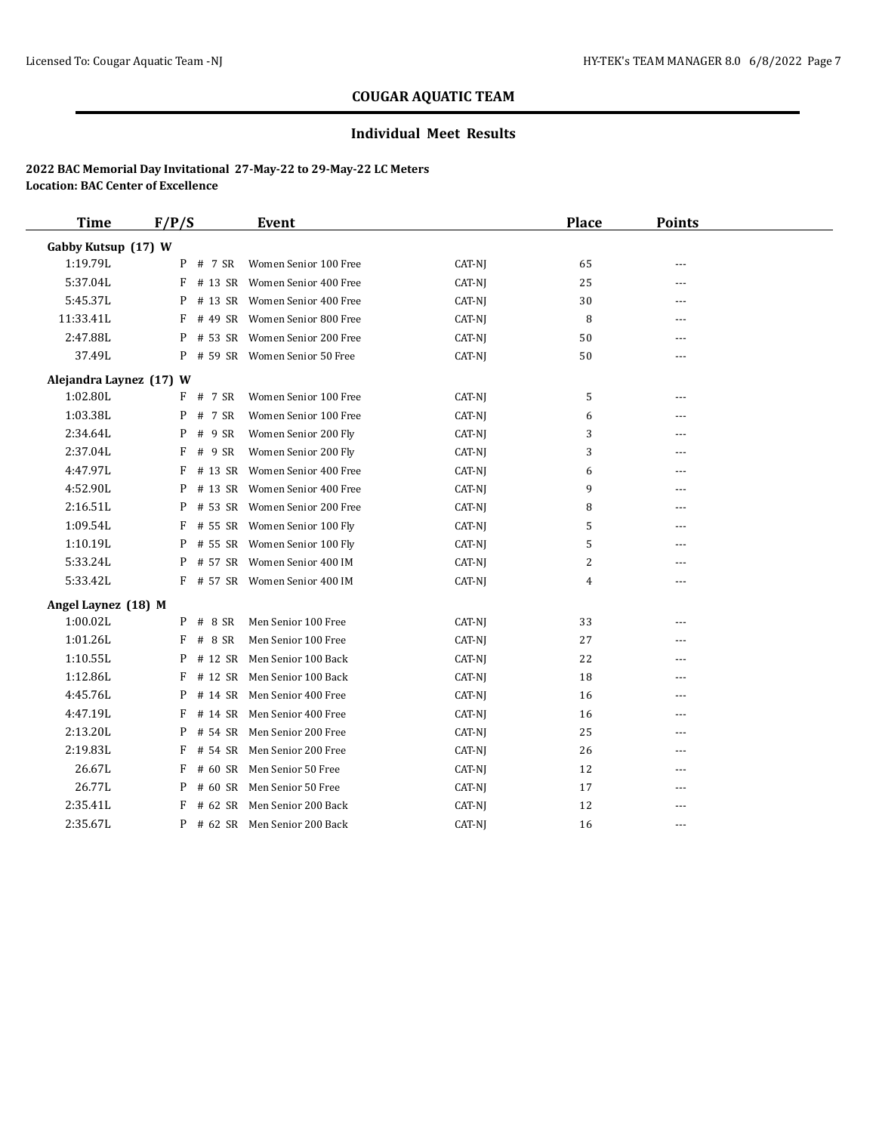## **Individual Meet Results**

| <b>Time</b>             | F/P/S        | Event                          |        | <b>Place</b>   | <b>Points</b> |  |
|-------------------------|--------------|--------------------------------|--------|----------------|---------------|--|
| Gabby Kutsup (17) W     |              |                                |        |                |               |  |
| 1:19.79L                | P<br># 7 SR  | Women Senior 100 Free          | CAT-NJ | 65             | ---           |  |
| 5:37.04L                | F            | # 13 SR Women Senior 400 Free  | CAT-NJ | 25             | ---           |  |
| 5:45.37L                | P            | # 13 SR Women Senior 400 Free  | CAT-NJ | 30             | ---           |  |
| 11:33.41L               | F            | # 49 SR Women Senior 800 Free  | CAT-NJ | 8              | ---           |  |
| 2:47.88L                | P            | # 53 SR Women Senior 200 Free  | CAT-NJ | 50             | ---           |  |
| 37.49L                  |              | P # 59 SR Women Senior 50 Free | CAT-NJ | 50             | $---$         |  |
| Alejandra Laynez (17) W |              |                                |        |                |               |  |
| 1:02.80L                | $F$ # 7 SR   | Women Senior 100 Free          | CAT-NJ | 5              | $- - -$       |  |
| 1:03.38L                | # 7 SR<br>P  | Women Senior 100 Free          | CAT-NJ | 6              | $---$         |  |
| 2:34.64L                | # 9 SR<br>P  | Women Senior 200 Fly           | CAT-NJ | 3              | $---$         |  |
| 2:37.04L                | F<br># 9 SR  | Women Senior 200 Fly           | CAT-NJ | 3              | $- - -$       |  |
| 4:47.97L                | F            | # 13 SR Women Senior 400 Free  | CAT-NJ | 6              | ---           |  |
| 4:52.90L                | P            | # 13 SR Women Senior 400 Free  | CAT-NJ | 9              | ---           |  |
| 2:16.51L                | P            | # 53 SR Women Senior 200 Free  | CAT-NJ | 8              | ---           |  |
| 1:09.54L                |              | F # 55 SR Women Senior 100 Fly | CAT-NJ | 5              | $---$         |  |
| 1:10.19L                | P            | # 55 SR Women Senior 100 Fly   | CAT-NJ | 5              | ---           |  |
| 5:33.24L                | P            | # 57 SR Women Senior 400 IM    | CAT-NJ | $\overline{c}$ | $- - -$       |  |
| 5:33.42L                |              | F # 57 SR Women Senior 400 IM  | CAT-NJ | 4              | $---$         |  |
| Angel Laynez (18) M     |              |                                |        |                |               |  |
| 1:00.02L                | # 8 SR<br>P  | Men Senior 100 Free            | CAT-NJ | 33             | $---$         |  |
| 1:01.26L                | # 8 SR<br>F  | Men Senior 100 Free            | CAT-NJ | 27             | $- - -$       |  |
| 1:10.55L                | P            | # 12 SR Men Senior 100 Back    | CAT-NJ | 22             |               |  |
| 1:12.86L                | F            | # 12 SR Men Senior 100 Back    | CAT-NJ | 18             | ---           |  |
| 4:45.76L                | P            | # 14 SR Men Senior 400 Free    | CAT-NJ | 16             | ---           |  |
| 4:47.19L                | F            | # 14 SR Men Senior 400 Free    | CAT-NJ | 16             | ---           |  |
| 2:13.20L                | # 54 SR<br>P | Men Senior 200 Free            | CAT-NJ | 25             | $---$         |  |
| 2:19.83L                | # 54 SR<br>F | Men Senior 200 Free            | CAT-NJ | 26             | $---$         |  |
| 26.67L                  | F            | # 60 SR Men Senior 50 Free     | CAT-NJ | 12             | ---           |  |
| 26.77L                  | P            | # 60 SR Men Senior 50 Free     | CAT-NJ | 17             | ---           |  |
| 2:35.41L                | F            | # 62 SR Men Senior 200 Back    | CAT-NJ | 12             | $---$         |  |
| 2:35.67L                |              | P # 62 SR Men Senior 200 Back  | CAT-NJ | 16             | ---           |  |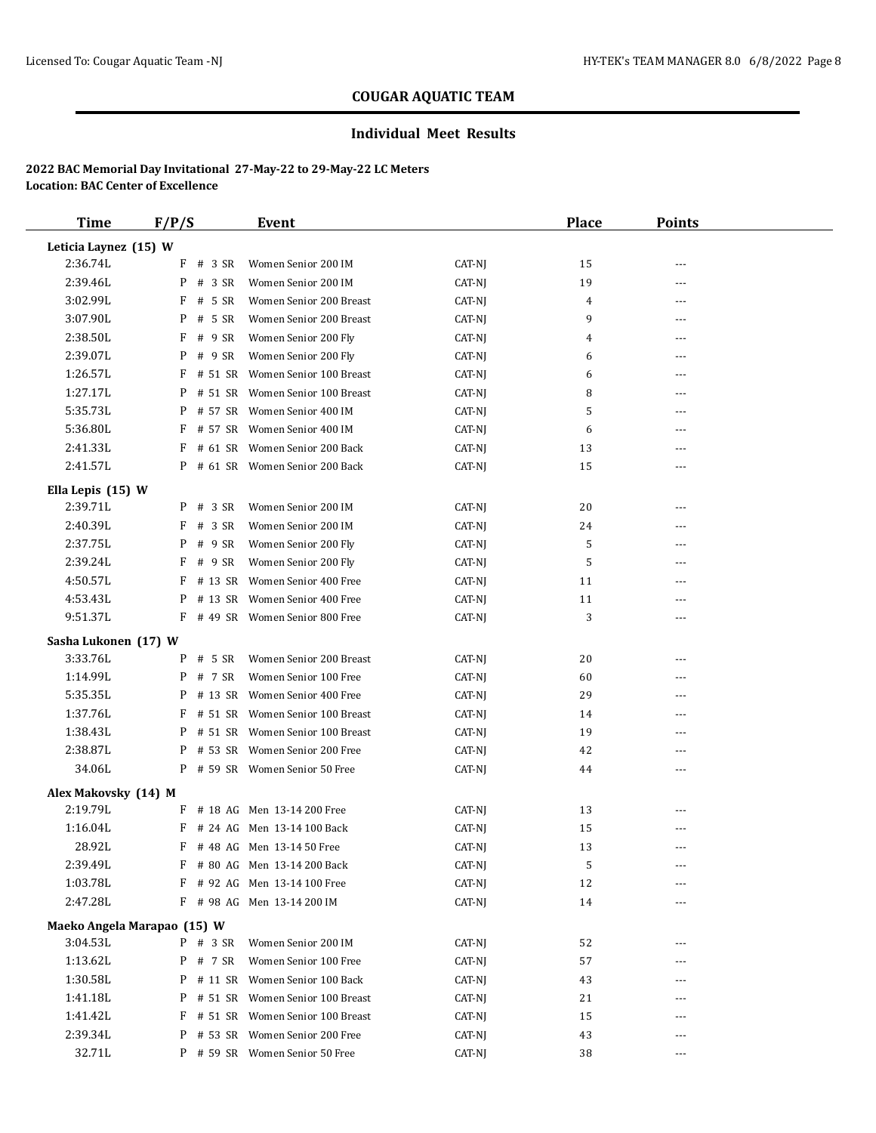## **Individual Meet Results**

| <b>Time</b>                 | F/P/S      | <b>Event</b>                      |        | <b>Place</b> | <b>Points</b> |  |
|-----------------------------|------------|-----------------------------------|--------|--------------|---------------|--|
| Leticia Laynez (15) W       |            |                                   |        |              |               |  |
| 2:36.74L                    | F          | # 3 SR<br>Women Senior 200 IM     | CAT-NJ | 15           | ---           |  |
| 2:39.46L                    | P          | # 3 SR<br>Women Senior 200 IM     | CAT-NJ | 19           | ---           |  |
| 3:02.99L                    | F          | # 5 SR<br>Women Senior 200 Breast | CAT-NJ | 4            | ---           |  |
| 3:07.90L                    | P          | # 5 SR<br>Women Senior 200 Breast | CAT-NJ | 9            | ---           |  |
| 2:38.50L                    | F          | # 9 SR<br>Women Senior 200 Fly    | CAT-NJ | 4            | $- - -$       |  |
| 2:39.07L                    | P          | # 9 SR<br>Women Senior 200 Fly    | CAT-NJ | 6            | $- - -$       |  |
| 1:26.57L                    | F          | # 51 SR Women Senior 100 Breast   | CAT-NJ | 6            | $- - -$       |  |
| 1:27.17L                    | P          | # 51 SR Women Senior 100 Breast   | CAT-NJ | 8            | ---           |  |
| 5:35.73L                    | P          | # 57 SR Women Senior 400 IM       | CAT-NJ | 5            | $---$         |  |
| 5:36.80L                    | F          | # 57 SR Women Senior 400 IM       | CAT-NJ | 6            | ---           |  |
| 2:41.33L                    | F          | # 61 SR Women Senior 200 Back     | CAT-NJ | 13           | $---$         |  |
| 2:41.57L                    |            | P # 61 SR Women Senior 200 Back   | CAT-NJ | 15           | ---           |  |
| Ella Lepis (15) W           |            |                                   |        |              |               |  |
| 2:39.71L                    | P          | # 3 SR<br>Women Senior 200 IM     | CAT-NJ | 20           | ---           |  |
| 2:40.39L                    | F          | Women Senior 200 IM<br># 3 SR     | CAT-NJ | 24           | ---           |  |
| 2:37.75L                    | P          | Women Senior 200 Fly<br># 9 SR    | CAT-NJ | 5            | $- - -$       |  |
| 2:39.24L                    | F          | # 9 SR<br>Women Senior 200 Fly    | CAT-NJ | 5            | ---           |  |
| 4:50.57L                    | F          | # 13 SR Women Senior 400 Free     | CAT-NJ | 11           | $- - -$       |  |
| 4:53.43L                    | P          | # 13 SR Women Senior 400 Free     | CAT-NJ | 11           | ---           |  |
| 9:51.37L                    |            | F #49 SR Women Senior 800 Free    | CAT-NJ | 3            | ---           |  |
| Sasha Lukonen (17) W        |            |                                   |        |              |               |  |
| 3:33.76L                    | P          | # 5 SR<br>Women Senior 200 Breast | CAT-NJ | 20           | ---           |  |
| 1:14.99L                    | P          | Women Senior 100 Free<br># 7 SR   | CAT-NJ | 60           | ---           |  |
| 5:35.35L                    | P          | # 13 SR Women Senior 400 Free     | CAT-NJ | 29           | ---           |  |
| 1:37.76L                    | F          | # 51 SR Women Senior 100 Breast   | CAT-NJ | 14           | $---$         |  |
| 1:38.43L                    | P          | # 51 SR Women Senior 100 Breast   | CAT-NJ | 19           | ---           |  |
| 2:38.87L                    | P          | # 53 SR Women Senior 200 Free     | CAT-NJ | 42           | $- - -$       |  |
| 34.06L                      |            | P # 59 SR Women Senior 50 Free    | CAT-NJ | 44           | ---           |  |
| Alex Makovsky (14) M        |            |                                   |        |              |               |  |
| 2:19.79L                    |            | F # 18 AG Men 13-14 200 Free      | CAT-NJ | 13           | $---$         |  |
| 1:16.04L                    | F          | # 24 AG Men 13-14 100 Back        | CAT-NJ | 15           |               |  |
| 28.92L                      | F          | # 48 AG Men 13-14 50 Free         | CAT-NJ | 13           | $- - -$       |  |
| 2:39.49L                    | F          | # 80 AG Men 13-14 200 Back        | CAT-NJ | 5            |               |  |
| 1:03.78L                    |            | # 92 AG Men 13-14 100 Free        | CAT-NJ | 12           |               |  |
| 2:47.28L                    |            | F # 98 AG Men 13-14 200 IM        | CAT-NJ | 14           | ---           |  |
| Maeko Angela Marapao (15) W |            |                                   |        |              |               |  |
| 3:04.53L                    | $P$ # 3 SR | Women Senior 200 IM               | CAT-NJ | 52           |               |  |
| 1:13.62L                    | P # 7 SR   | Women Senior 100 Free             | CAT-NJ | 57           |               |  |
| 1:30.58L                    |            | P # 11 SR Women Senior 100 Back   | CAT-NJ | 43           | ---           |  |
| 1:41.18L                    | P          | # 51 SR Women Senior 100 Breast   | CAT-NJ | 21           | ---           |  |
| 1:41.42L                    | F          | # 51 SR Women Senior 100 Breast   | CAT-NJ | 15           | $---$         |  |
| 2:39.34L                    | P          | # 53 SR Women Senior 200 Free     | CAT-NJ | 43           | ---           |  |
| 32.71L                      |            | P # 59 SR Women Senior 50 Free    | CAT-NJ | 38           | $---$         |  |
|                             |            |                                   |        |              |               |  |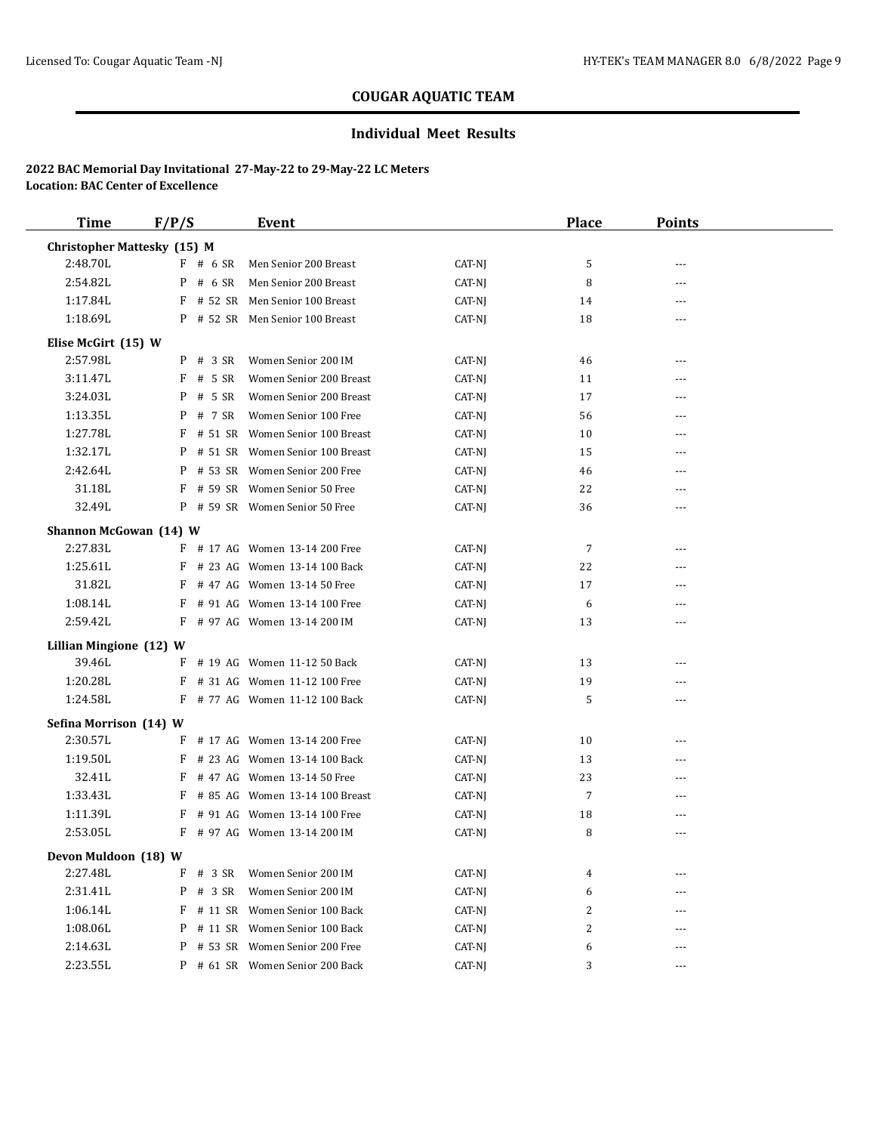## **Individual Meet Results**

| <b>Time</b>                        | F/P/S        | Event                             |        | Place | <b>Points</b>  |  |
|------------------------------------|--------------|-----------------------------------|--------|-------|----------------|--|
| <b>Christopher Mattesky (15) M</b> |              |                                   |        |       |                |  |
| 2:48.70L                           | $F$ # 6 SR   | Men Senior 200 Breast             | CAT-NJ | 5     |                |  |
| 2:54.82L                           | $P$ # 6 SR   | Men Senior 200 Breast             | CAT-NJ | 8     | $- - -$        |  |
| 1:17.84L                           |              | F # 52 SR Men Senior 100 Breast   | CAT-NJ | 14    | ---            |  |
| 1:18.69L                           |              | P # 52 SR Men Senior 100 Breast   | CAT-NJ | 18    | ---            |  |
| Elise McGirt (15) W                |              |                                   |        |       |                |  |
| 2:57.98L                           | $P$ # 3 SR   | Women Senior 200 IM               | CAT-NJ | 46    | ---            |  |
| 3:11.47L                           | # 5 SR<br>F  | Women Senior 200 Breast           | CAT-NJ | 11    | ---            |  |
| 3:24.03L                           | # 5 SR<br>P  | Women Senior 200 Breast           | CAT-NJ | 17    | ---            |  |
| 1:13.35L                           | # 7 SR<br>P  | Women Senior 100 Free             | CAT-NJ | 56    | $---$          |  |
| 1:27.78L                           |              | F # 51 SR Women Senior 100 Breast | CAT-NJ | 10    | ---            |  |
| 1:32.17L                           | P            | # 51 SR Women Senior 100 Breast   | CAT-NJ | 15    | $\overline{a}$ |  |
| 2:42.64L                           |              | P # 53 SR Women Senior 200 Free   | CAT-NJ | 46    | $\overline{a}$ |  |
| 31.18L                             |              | F # 59 SR Women Senior 50 Free    | CAT-NJ | 22    | ---            |  |
| 32.49L                             |              | P # 59 SR Women Senior 50 Free    | CAT-NJ | 36    | ---            |  |
| Shannon McGowan (14) W             |              |                                   |        |       |                |  |
| 2:27.83L                           |              | F # 17 AG Women 13-14 200 Free    | CAT-NJ | 7     | $- - -$        |  |
| 1:25.61L                           | F            | # 23 AG Women 13-14 100 Back      | CAT-NJ | 22    | ---            |  |
| 31.82L                             | F            | # 47 AG Women 13-14 50 Free       | CAT-NJ | 17    | $---$          |  |
| 1:08.14L                           |              | F # 91 AG Women 13-14 100 Free    | CAT-NJ | 6     |                |  |
| 2:59.42L                           |              | F # 97 AG Women 13-14 200 IM      | CAT-NJ | 13    | ---            |  |
| Lillian Mingione (12) W            |              |                                   |        |       |                |  |
| 39.46L                             |              | F # 19 AG Women 11-12 50 Back     | CAT-NJ | 13    |                |  |
| 1:20.28L                           |              | F # 31 AG Women 11-12 100 Free    | CAT-NJ | 19    | $---$          |  |
| 1:24.58L                           |              | F # 77 AG Women 11-12 100 Back    | CAT-NJ | 5     | ---            |  |
| Sefina Morrison (14) W             |              |                                   |        |       |                |  |
| 2:30.57L                           |              | F # 17 AG Women 13-14 200 Free    | CAT-NJ | 10    | ---            |  |
| 1:19.50L                           |              | F # 23 AG Women 13-14 100 Back    | CAT-NJ | 13    | $---$          |  |
| 32.41L                             |              | F # 47 AG Women 13-14 50 Free     | CAT-NJ | 23    | ---            |  |
| 1:33.43L                           |              | F # 85 AG Women 13-14 100 Breast  | CAT-NJ | 7     | ---            |  |
| 1:11.39L                           |              | F # 91 AG Women 13-14 100 Free    | CAT-NJ | 18    | ---            |  |
| 2:53.05L                           |              | F # 97 AG Women 13-14 200 IM      | CAT-NJ | 8     | ---            |  |
| Devon Muldoon (18) W               |              |                                   |        |       |                |  |
| 2:27.48L                           | F<br># 3 SR  | Women Senior 200 IM               | CAT-NJ | 4     |                |  |
| 2:31.41L                           | P<br># 3 SR  | Women Senior 200 IM               | CAT-NJ | 6     | $---$          |  |
| 1:06.14L                           | # 11 SR<br>F | Women Senior 100 Back             | CAT-NJ | 2     |                |  |
| 1:08.06L                           | # 11 SR<br>P | Women Senior 100 Back             | CAT-NJ | 2     | $---$          |  |
| 2:14.63L                           | # 53 SR<br>P | Women Senior 200 Free             | CAT-NJ | 6     | ---            |  |
| 2:23.55L                           |              | P # 61 SR Women Senior 200 Back   | CAT-NJ | 3     | ---            |  |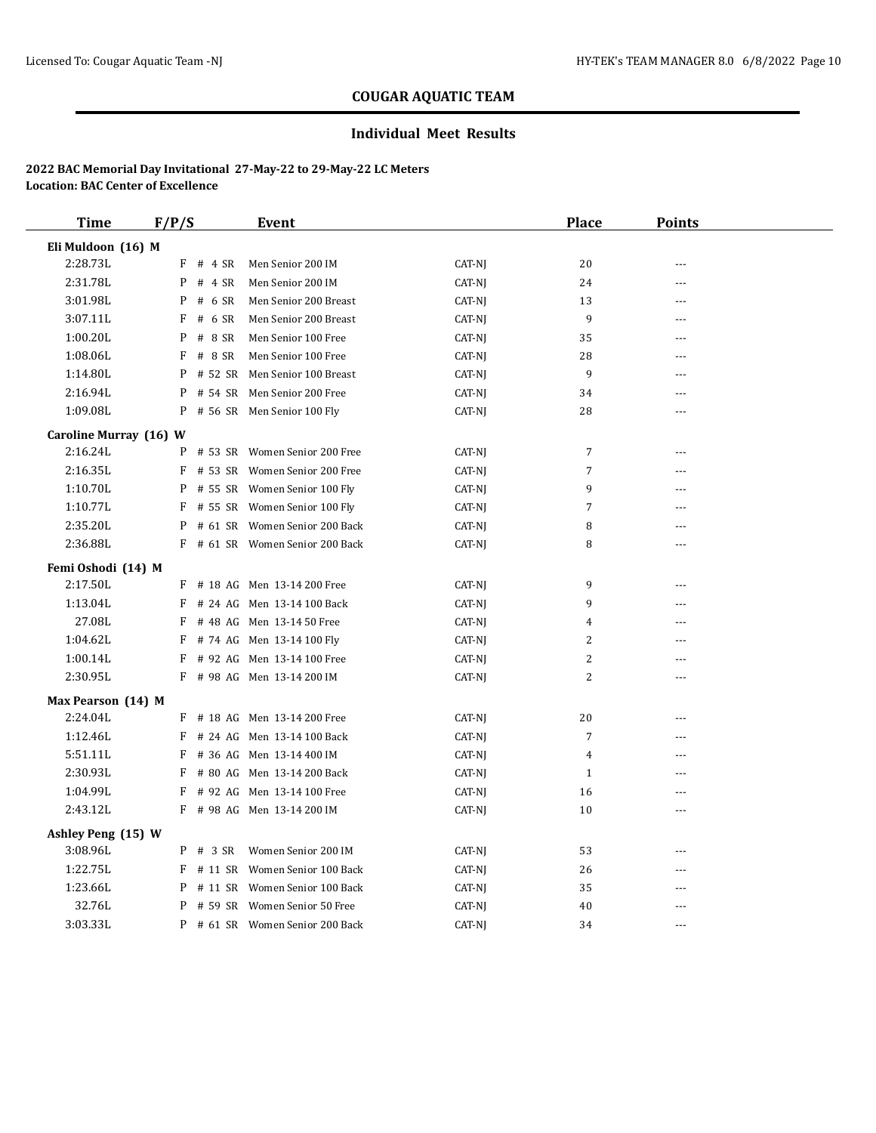## **Individual Meet Results**

| <b>Time</b>            | F/P/S        | <b>Event</b>                    |        | <b>Place</b>   | <b>Points</b>  |  |
|------------------------|--------------|---------------------------------|--------|----------------|----------------|--|
| Eli Muldoon (16) M     |              |                                 |        |                |                |  |
| 2:28.73L               | F<br># 4 SR  | Men Senior 200 IM               | CAT-NJ | 20             | $\sim$ $\sim$  |  |
| 2:31.78L               | # 4 SR<br>P  | Men Senior 200 IM               | CAT-NJ | 24             | ---            |  |
| 3:01.98L               | # 6 SR<br>P  | Men Senior 200 Breast           | CAT-NJ | 13             | $\overline{a}$ |  |
| 3:07.11L               | F<br># 6 SR  | Men Senior 200 Breast           | CAT-NJ | 9              | $---$          |  |
| 1:00.20L               | # 8 SR<br>P  | Men Senior 100 Free             | CAT-NJ | 35             | ---            |  |
| 1:08.06L               | F<br># 8 SR  | Men Senior 100 Free             | CAT-NJ | 28             | $\overline{a}$ |  |
| 1:14.80L               | P<br># 52 SR | Men Senior 100 Breast           | CAT-NJ | 9              | $- - -$        |  |
| 2:16.94L               | # 54 SR<br>P | Men Senior 200 Free             | CAT-NJ | 34             | ---            |  |
| 1:09.08L               |              | P # 56 SR Men Senior 100 Fly    | CAT-NJ | 28             | $---$          |  |
| Caroline Murray (16) W |              |                                 |        |                |                |  |
| 2:16.24L               | P            | # 53 SR Women Senior 200 Free   | CAT-NJ | 7              | $\sim$ $\sim$  |  |
| 2:16.35L               | F            | # 53 SR Women Senior 200 Free   | CAT-NJ | 7              | $- - -$        |  |
| 1:10.70L               | P            | # 55 SR Women Senior 100 Fly    | CAT-NJ | 9              | ---            |  |
| 1:10.77L               |              | F # 55 SR Women Senior 100 Fly  | CAT-NJ | 7              | $---$          |  |
| 2:35.20L               | P            | # 61 SR Women Senior 200 Back   | CAT-NJ | 8              | $- - -$        |  |
| 2:36.88L               |              | F # 61 SR Women Senior 200 Back | CAT-NJ | 8              | ---            |  |
| Femi Oshodi (14) M     |              |                                 |        |                |                |  |
| 2:17.50L               |              | F # 18 AG Men 13-14 200 Free    | CAT-NJ | 9              | ---            |  |
| 1:13.04L               | F            | # 24 AG Men 13-14 100 Back      | CAT-NJ | 9              | $---$          |  |
| 27.08L                 | F            | # 48 AG Men 13-14 50 Free       | CAT-NJ | 4              | $- - -$        |  |
| 1:04.62L               | F            | # 74 AG Men 13-14 100 Fly       | CAT-NJ | 2              | ---            |  |
| 1:00.14L               | F            | # 92 AG Men 13-14 100 Free      | CAT-NJ | 2              | $---$          |  |
| 2:30.95L               |              | F # 98 AG Men 13-14 200 IM      | CAT-NJ | $\overline{c}$ | $\overline{a}$ |  |
| Max Pearson (14) M     |              |                                 |        |                |                |  |
| 2:24.04L               |              | F # 18 AG Men 13-14 200 Free    | CAT-NJ | 20             | $- - -$        |  |
| 1:12.46L               | F            | # 24 AG Men 13-14 100 Back      | CAT-NJ | $\overline{7}$ | ---            |  |
| 5:51.11L               | F            | # 36 AG Men 13-14 400 IM        | CAT-NJ | $\overline{4}$ | $- - -$        |  |
| 2:30.93L               | F            | # 80 AG Men 13-14 200 Back      | CAT-NJ | $\mathbf{1}$   | $- - -$        |  |
| 1:04.99L               | F            | # 92 AG Men 13-14 100 Free      | CAT-NJ | 16             | ---            |  |
| 2:43.12L               |              | F # 98 AG Men 13-14 200 IM      | CAT-NJ | 10             | $\overline{a}$ |  |
| Ashley Peng (15) W     |              |                                 |        |                |                |  |
| 3:08.96L               | $P$ # 3 SR   | Women Senior 200 IM             | CAT-NJ | 53             | $- - -$        |  |
| 1:22.75L               | # 11 SR<br>F | Women Senior 100 Back           | CAT-NJ | 26             | $- - -$        |  |
| 1:23.66L               | P            | # 11 SR Women Senior 100 Back   | CAT-NJ | 35             | ---            |  |
| 32.76L                 | P            | # 59 SR Women Senior 50 Free    | CAT-NJ | 40             | $- - -$        |  |
| 3:03.33L               |              | P # 61 SR Women Senior 200 Back | CAT-NJ | 34             | $\sim$ $\sim$  |  |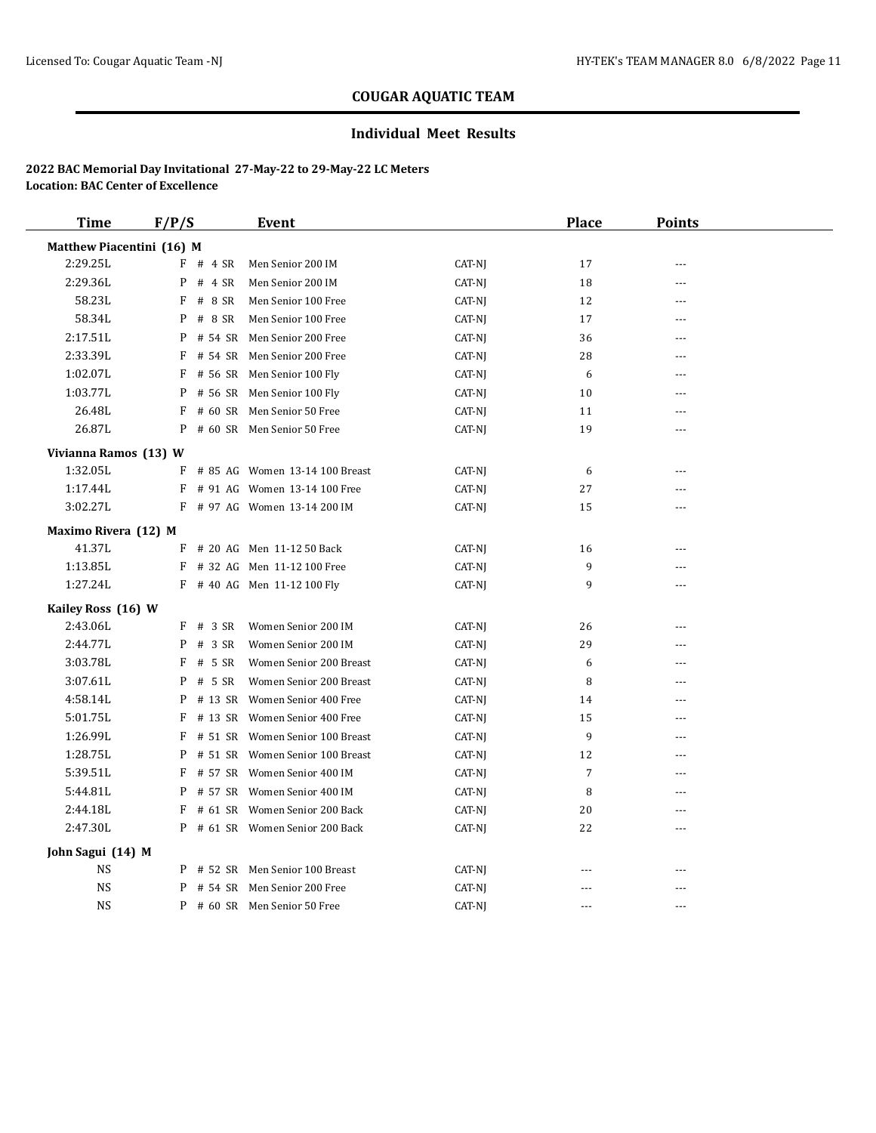## **Individual Meet Results**

| <b>Time</b>               | F/P/S        | Event                           |        | <b>Place</b>   | <b>Points</b>  |  |
|---------------------------|--------------|---------------------------------|--------|----------------|----------------|--|
| Matthew Piacentini (16) M |              |                                 |        |                |                |  |
| 2:29.25L                  | $F$ # 4 SR   | Men Senior 200 IM               | CAT-NJ | 17             | ---            |  |
| 2:29.36L                  | # 4 SR<br>P  | Men Senior 200 IM               | CAT-NJ | 18             | $- - -$        |  |
| 58.23L                    | # 8 SR<br>F  | Men Senior 100 Free             | CAT-NJ | 12             | $\overline{a}$ |  |
| 58.34L                    | # 8 SR<br>P  | Men Senior 100 Free             | CAT-NJ | 17             | $- - -$        |  |
| 2:17.51L                  | # 54 SR<br>P | Men Senior 200 Free             | CAT-NJ | 36             | ---            |  |
| 2:33.39L                  | F            | # 54 SR Men Senior 200 Free     | CAT-NJ | 28             | ---            |  |
| 1:02.07L                  | F            | # 56 SR Men Senior 100 Fly      | CAT-NJ | 6              | $\overline{a}$ |  |
| 1:03.77L                  | P            | # 56 SR Men Senior 100 Fly      | CAT-NJ | 10             | $\overline{a}$ |  |
| 26.48L                    | F            | # 60 SR Men Senior 50 Free      | CAT-NJ | 11             | $\overline{a}$ |  |
| 26.87L                    |              | P # 60 SR Men Senior 50 Free    | CAT-NJ | 19             | $-$            |  |
| Vivianna Ramos (13) W     |              |                                 |        |                |                |  |
| 1:32.05L                  | F            | # 85 AG Women 13-14 100 Breast  | CAT-NJ | 6              | $\overline{a}$ |  |
| 1:17.44L                  | F            | # 91 AG Women 13-14 100 Free    | CAT-NJ | 27             | $- - -$        |  |
| 3:02.27L                  |              | F # 97 AG Women 13-14 200 IM    | CAT-NJ | 15             | $\overline{a}$ |  |
| Maximo Rivera (12) M      |              |                                 |        |                |                |  |
| 41.37L                    |              | $F$ # 20 AG Men 11-12 50 Back   | CAT-NJ | 16             |                |  |
| 1:13.85L                  |              | F # 32 AG Men 11-12 100 Free    | CAT-NJ | 9              | ---            |  |
| 1:27.24L                  |              | F # 40 AG Men 11-12 100 Fly     | CAT-NJ | 9              | ---            |  |
| Kailey Ross (16) W        |              |                                 |        |                |                |  |
| 2:43.06L                  | $F$ # 3 SR   | Women Senior 200 IM             | CAT-NJ | 26             | $- - -$        |  |
| 2:44.77L                  | $P$ # 3 SR   | Women Senior 200 IM             | CAT-NJ | 29             | ---            |  |
| 3:03.78L                  | $F$ # 5 SR   | Women Senior 200 Breast         | CAT-NJ | 6              | ---            |  |
| 3:07.61L                  | P<br># 5 SR  | Women Senior 200 Breast         | CAT-NJ | 8              | $- - -$        |  |
| 4:58.14L                  | P            | # 13 SR Women Senior 400 Free   | CAT-NJ | 14             | ---            |  |
| 5:01.75L                  | F<br># 13 SR | Women Senior 400 Free           | CAT-NJ | 15             | $- - -$        |  |
| 1:26.99L                  | F<br># 51 SR | Women Senior 100 Breast         | CAT-NJ | 9              | $\overline{a}$ |  |
| 1:28.75L                  | P            | # 51 SR Women Senior 100 Breast | CAT-NJ | 12             | ---            |  |
| 5:39.51L                  | F            | # 57 SR Women Senior 400 IM     | CAT-NJ | $\overline{7}$ | ---            |  |
| 5:44.81L                  | P            | # 57 SR Women Senior 400 IM     | CAT-NJ | 8              | ---            |  |
| 2:44.18L                  | F            | # 61 SR Women Senior 200 Back   | CAT-NJ | 20             | $- - -$        |  |
| 2:47.30L                  |              | P # 61 SR Women Senior 200 Back | CAT-NJ | 22             | ---            |  |
| John Sagui (14) M         |              |                                 |        |                |                |  |
| <b>NS</b>                 |              | P # 52 SR Men Senior 100 Breast | CAT-NJ | ---            |                |  |
| <b>NS</b>                 | P            | # 54 SR Men Senior 200 Free     | CAT-NJ | ---            | ---            |  |
| <b>NS</b>                 |              | P # 60 SR Men Senior 50 Free    | CAT-NJ | $-$            | $\sim$         |  |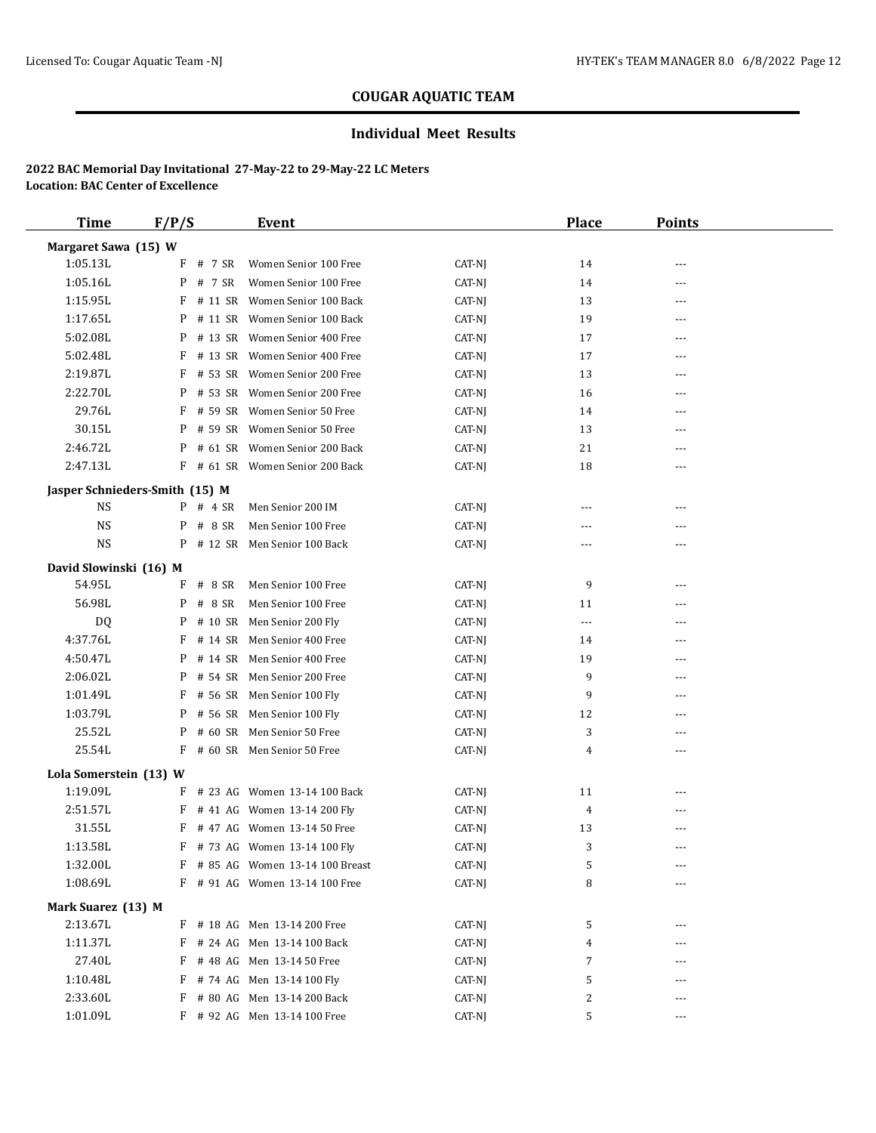## **Individual Meet Results**

| <b>Time</b>                    | F/P/S |            | Event                            |        | <b>Place</b>         | <b>Points</b> |  |
|--------------------------------|-------|------------|----------------------------------|--------|----------------------|---------------|--|
| Margaret Sawa (15) W           |       |            |                                  |        |                      |               |  |
| 1:05.13L                       |       | $F$ # 7 SR | Women Senior 100 Free            | CAT-NJ | 14                   | $- - -$       |  |
| 1:05.16L                       |       | P # 7 SR   | Women Senior 100 Free            | CAT-NJ | 14                   | ---           |  |
| 1:15.95L                       |       |            | F # 11 SR Women Senior 100 Back  | CAT-NJ | 13                   | $---$         |  |
| 1:17.65L                       |       |            | P # 11 SR Women Senior 100 Back  | CAT-NJ | 19                   | ---           |  |
| 5:02.08L                       |       |            | P # 13 SR Women Senior 400 Free  | CAT-NJ | 17                   | $---$         |  |
| 5:02.48L                       |       |            | F # 13 SR Women Senior 400 Free  | CAT-NJ | 17                   | ---           |  |
| 2:19.87L                       | F     |            | # 53 SR Women Senior 200 Free    | CAT-NJ | 13                   | $- - -$       |  |
| 2:22.70L                       |       |            | P # 53 SR Women Senior 200 Free  | CAT-NJ | 16                   | ---           |  |
| 29.76L                         |       |            | F # 59 SR Women Senior 50 Free   | CAT-NJ | 14                   | ---           |  |
| 30.15L                         |       |            | P # 59 SR Women Senior 50 Free   | CAT-NJ | 13                   | ---           |  |
| 2:46.72L                       |       |            | P # 61 SR Women Senior 200 Back  | CAT-NJ | 21                   |               |  |
| 2:47.13L                       |       |            | F # 61 SR Women Senior 200 Back  | CAT-NJ | 18                   | $---$         |  |
| Jasper Schnieders-Smith (15) M |       |            |                                  |        |                      |               |  |
| <b>NS</b>                      |       | $P$ # 4 SR | Men Senior 200 IM                | CAT-NJ | $---$                | $- - -$       |  |
| NS                             |       | $P$ # 8 SR | Men Senior 100 Free              | CAT-NJ | ---                  |               |  |
| <b>NS</b>                      |       |            | P # 12 SR Men Senior 100 Back    | CAT-NJ | ---                  | $---$         |  |
| David Slowinski (16) M         |       |            |                                  |        |                      |               |  |
| 54.95L                         | F     | # 8 SR     | Men Senior 100 Free              | CAT-NJ | 9                    | ---           |  |
| 56.98L                         |       | $P$ # 8 SR | Men Senior 100 Free              | CAT-NJ | 11                   | $- - -$       |  |
| <b>DQ</b>                      |       |            | P # 10 SR Men Senior 200 Fly     | CAT-NJ | $\scriptstyle\cdots$ | ---           |  |
| 4:37.76L                       | F     |            | # 14 SR Men Senior 400 Free      | CAT-NJ | 14                   | ---           |  |
| 4:50.47L                       |       |            | P # 14 SR Men Senior 400 Free    | CAT-NJ | 19                   | ---           |  |
| 2:06.02L                       | P     |            | # 54 SR Men Senior 200 Free      | CAT-NJ | 9                    | ---           |  |
| 1:01.49L                       | F     |            | # 56 SR Men Senior 100 Fly       | CAT-NJ | 9                    | $---$         |  |
| 1:03.79L                       |       |            | P # 56 SR Men Senior 100 Fly     | CAT-NJ | 12                   | ---           |  |
| 25.52L                         |       |            | P # 60 SR Men Senior 50 Free     | CAT-NJ | 3                    | ---           |  |
| 25.54L                         |       |            | F # 60 SR Men Senior 50 Free     | CAT-NJ | 4                    | ---           |  |
| Lola Somerstein (13) W         |       |            |                                  |        |                      |               |  |
| 1:19.09L                       |       |            | F # 23 AG Women 13-14 100 Back   | CAT-NJ | 11                   | $---$         |  |
| 2:51.57L                       |       |            | F # 41 AG Women 13-14 200 Fly    | CAT-NJ | $\overline{4}$       | $---$         |  |
| 31.55L                         |       |            | F # 47 AG Women 13-14 50 Free    | CAT-NJ | 13                   |               |  |
| 1:13.58L                       |       |            | $F$ # 73 AG Women 13-14 100 Fly  | CAT-NJ | 3                    | $- - -$       |  |
| 1:32.00L                       |       |            | F # 85 AG Women 13-14 100 Breast | CAT-NJ | 5                    |               |  |
| 1:08.69L                       |       |            | F # 91 AG Women 13-14 100 Free   | CAT-NJ | 8                    |               |  |
| Mark Suarez (13) M             |       |            |                                  |        |                      |               |  |
| 2:13.67L                       |       |            | F # 18 AG Men 13-14 200 Free     | CAT-NJ | 5                    |               |  |
| 1:11.37L                       |       |            | F # 24 AG Men 13-14 100 Back     | CAT-NJ | 4                    | ---           |  |
| 27.40L                         | F     |            | # 48 AG Men 13-14 50 Free        | CAT-NJ | 7                    |               |  |
| 1:10.48L                       |       |            | F # 74 AG Men 13-14 100 Fly      | CAT-NJ | 5                    | ---           |  |
| 2:33.60L                       |       |            | F # 80 AG Men 13-14 200 Back     | CAT-NJ | 2                    | ---           |  |
| 1:01.09L                       |       |            | F # 92 AG Men 13-14 100 Free     | CAT-NJ | 5                    | ---           |  |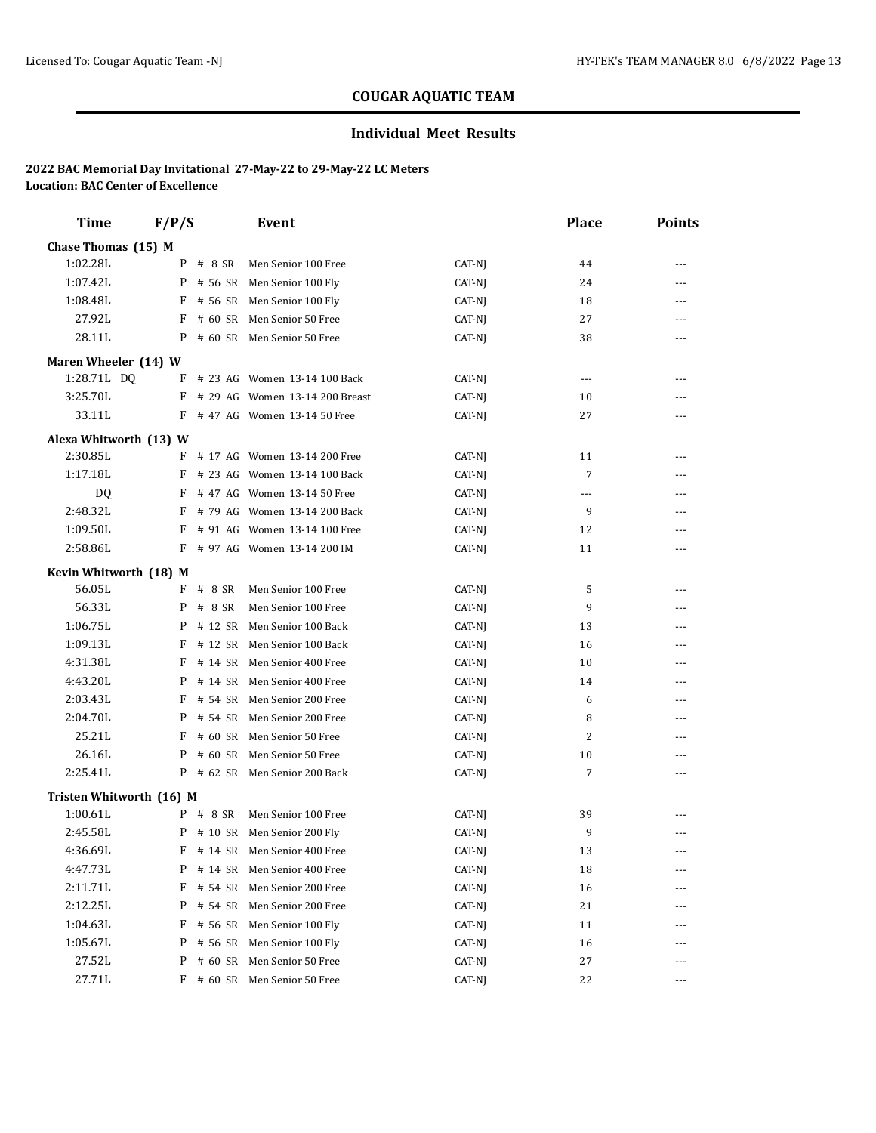## **Individual Meet Results**

| <b>Time</b>              | F/P/S        |            | Event                            |        | <b>Place</b> | <b>Points</b> |  |
|--------------------------|--------------|------------|----------------------------------|--------|--------------|---------------|--|
| Chase Thomas (15) M      |              |            |                                  |        |              |               |  |
| 1:02.28L                 |              | $P$ # 8 SR | Men Senior 100 Free              | CAT-NJ | 44           | $- - -$       |  |
| 1:07.42L                 |              |            | P # 56 SR Men Senior 100 Fly     | CAT-NJ | 24           | ---           |  |
| 1:08.48L                 |              |            | F # 56 SR Men Senior 100 Fly     | CAT-NJ | 18           | ---           |  |
| 27.92L                   | F            |            | # 60 SR Men Senior 50 Free       | CAT-NJ | 27           | $---$         |  |
| 28.11L                   |              |            | P # 60 SR Men Senior 50 Free     | CAT-NJ | 38           | ---           |  |
| Maren Wheeler (14) W     |              |            |                                  |        |              |               |  |
| 1:28.71L DQ              | F            |            | # 23 AG Women 13-14 100 Back     | CAT-NJ | $\cdots$     | ---           |  |
| 3:25.70L                 |              |            | F # 29 AG Women 13-14 200 Breast | CAT-NJ | 10           | $---$         |  |
| 33.11L                   |              |            | $F$ # 47 AG Women 13-14 50 Free  | CAT-NJ | 27           | ---           |  |
| Alexa Whitworth (13) W   |              |            |                                  |        |              |               |  |
| 2:30.85L                 |              |            | F # 17 AG Women 13-14 200 Free   | CAT-NJ | 11           | $---$         |  |
| 1:17.18L                 |              |            | F # 23 AG Women 13-14 100 Back   | CAT-NJ | 7            | $---$         |  |
| DQ.                      |              |            | $F$ # 47 AG Women 13-14 50 Free  | CAT-NJ | $\cdots$     | $---$         |  |
| 2:48.32L                 | F            |            | # 79 AG Women 13-14 200 Back     | CAT-NJ | 9            | ---           |  |
| 1:09.50L                 | F            |            | # 91 AG Women 13-14 100 Free     | CAT-NJ | 12           | $---$         |  |
| 2:58.86L                 |              |            | F # 97 AG Women 13-14 200 IM     | CAT-NJ | 11           |               |  |
| Kevin Whitworth (18) M   |              |            |                                  |        |              |               |  |
| 56.05L                   |              | $F$ # 8 SR | Men Senior 100 Free              | CAT-NJ | 5            | $---$         |  |
| 56.33L                   |              | $P$ # 8 SR | Men Senior 100 Free              | CAT-NJ | 9            | $- - -$       |  |
| 1:06.75L                 | P            |            | # 12 SR Men Senior 100 Back      | CAT-NJ | 13           | $- - -$       |  |
| 1:09.13L                 | F            |            | # 12 SR Men Senior 100 Back      | CAT-NJ | 16           | ---           |  |
| 4:31.38L                 | F            |            | # 14 SR Men Senior 400 Free      | CAT-NJ | 10           | $---$         |  |
| 4:43.20L                 | P            |            | # 14 SR Men Senior 400 Free      | CAT-NJ | 14           | ---           |  |
| 2:03.43L                 | F            |            | # 54 SR Men Senior 200 Free      | CAT-NJ | 6            | $---$         |  |
| 2:04.70L                 | P            |            | # 54 SR Men Senior 200 Free      | CAT-NJ | 8            | ---           |  |
| 25.21L                   | F            |            | # 60 SR Men Senior 50 Free       | CAT-NJ | 2            | ---           |  |
| 26.16L                   | P            |            | # 60 SR Men Senior 50 Free       | CAT-NJ | 10           | $---$         |  |
| 2:25.41L                 |              |            | P # 62 SR Men Senior 200 Back    | CAT-NJ | 7            | ---           |  |
| Tristen Whitworth (16) M |              |            |                                  |        |              |               |  |
| 1:00.61L                 |              |            | P # 8 SR Men Senior 100 Free     | CAT-NJ | 39           |               |  |
| 2:45.58L                 |              |            | P # 10 SR Men Senior 200 Fly     | CAT-NJ | 9            | $---$         |  |
| 4:36.69L                 |              |            | F # 14 SR Men Senior 400 Free    | CAT-NJ | 13           | $- - -$       |  |
| 4:47.73L                 | P            |            | # 14 SR Men Senior 400 Free      | CAT-NJ | 18           |               |  |
| 2:11.71L                 | $\mathbf{F}$ |            | # 54 SR Men Senior 200 Free      | CAT-NJ | 16           | ---           |  |
| 2:12.25L                 | P            |            | # 54 SR Men Senior 200 Free      | CAT-NJ | 21           |               |  |
| 1:04.63L                 | F            |            | # 56 SR Men Senior 100 Fly       | CAT-NJ | 11           | ---           |  |
| 1:05.67L                 | P            |            | # 56 SR Men Senior 100 Fly       | CAT-NJ | 16           | ---           |  |
| 27.52L                   | P            |            | # 60 SR Men Senior 50 Free       | CAT-NJ | 27           | $\cdots$      |  |
| 27.71L                   |              |            | F # 60 SR Men Senior 50 Free     | CAT-NJ | 22           | $---$         |  |